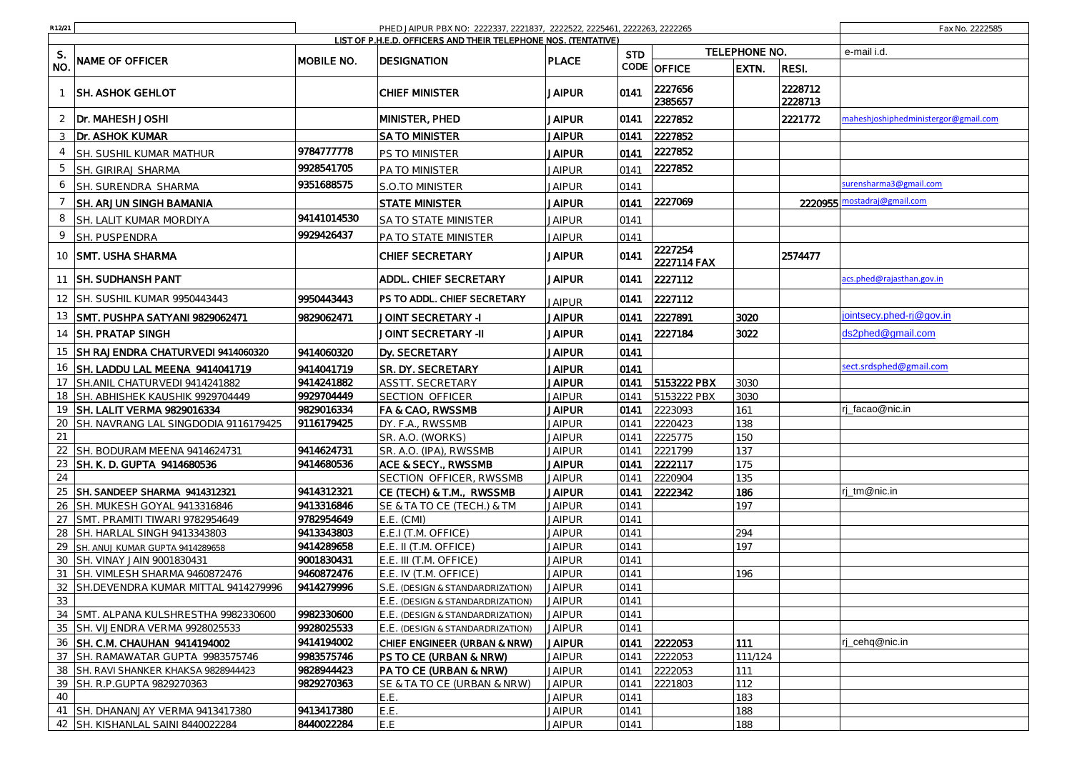| R12/21         |                                        |             | PHED JAIPUR PBX NO: 2222337, 2221837, 2222522, 2225461, 2222263, 2222265 |               |            |                        |               |                    | Fax No. 2222585                      |
|----------------|----------------------------------------|-------------|--------------------------------------------------------------------------|---------------|------------|------------------------|---------------|--------------------|--------------------------------------|
|                |                                        |             | LIST OF P.H.E.D. OFFICERS AND THEIR TELEPHONE NOS. (TENTATIVE)           |               |            |                        |               |                    |                                      |
| S.             |                                        |             |                                                                          |               | <b>STD</b> |                        | TELEPHONE NO. |                    | e-mail i.d.                          |
| NO.            | <b>NAME OF OFFICER</b>                 | MOBILE NO.  | DESIGNATION                                                              | <b>PLACE</b>  |            | CODE OFFICE            | EXTN.         | RESI.              |                                      |
|                | <b>SH. ASHOK GEHLOT</b>                |             | <b>CHIEF MINISTER</b>                                                    | <b>JAIPUR</b> | 0141       | 2227656<br>2385657     |               | 2228712<br>2228713 |                                      |
| 2              | <b>IDr. MAHESH JOSHI</b>               |             | MINISTER, PHED                                                           | <b>JAIPUR</b> | 0141       | 2227852                |               | 2221772            | maheshjoshiphedministergor@gmail.com |
| 3              | <b>IDr. ASHOK KUMAR</b>                |             | <b>SA TO MINISTER</b>                                                    | <b>JAIPUR</b> | 0141       | 2227852                |               |                    |                                      |
| $\overline{4}$ | SH. SUSHIL KUMAR MATHUR                | 9784777778  | <b>PS TO MINISTER</b>                                                    | <b>JAIPUR</b> | 0141       | 2227852                |               |                    |                                      |
| 5              | <b>SH. GIRIRAJ SHARMA</b>              | 9928541705  | PA TO MINISTER                                                           | <b>JAIPUR</b> | 0141       | 2227852                |               |                    |                                      |
| 6              | SH. SURENDRA SHARMA                    | 9351688575  | <b>S.O.TO MINISTER</b>                                                   | <b>JAIPUR</b> | 0141       |                        |               |                    | urensharma3@gmail.com                |
|                | <b>SH. ARJUN SINGH BAMANIA</b>         |             | <b>STATE MINISTER</b>                                                    | <b>JAIPUR</b> | 0141       | 2227069                |               | 2220955            | mostadraj@gmail.com                  |
| 8              | SH. LALIT KUMAR MORDIYA                | 94141014530 | SA TO STATE MINISTER                                                     | <b>JAIPUR</b> | 0141       |                        |               |                    |                                      |
| 9              | SH. PUSPENDRA                          | 9929426437  | PA TO STATE MINISTER                                                     | <b>JAIPUR</b> | 0141       |                        |               |                    |                                      |
|                | 10 SMT. USHA SHARMA                    |             | <b>CHIEF SECRETARY</b>                                                   | <b>JAIPUR</b> | 0141       | 2227254<br>2227114 FAX |               | 2574477            |                                      |
| 11             | <b>ISH. SUDHANSH PANT</b>              |             | <b>ADDL. CHIEF SECRETARY</b>                                             | <b>JAIPUR</b> | 0141       | 2227112                |               |                    | acs.phed@rajasthan.gov.in            |
|                | 12 SH. SUSHIL KUMAR 9950443443         | 9950443443  | PS TO ADDL. CHIEF SECRETARY                                              | <b>JAIPUR</b> | 0141       | 2227112                |               |                    |                                      |
| 13             | SMT. PUSHPA SATYANI 9829062471         | 9829062471  | JOINT SECRETARY -I                                                       | <b>JAIPUR</b> | 0141       | 2227891                | 3020          |                    | ointsecy.phed-ri@gov.in              |
|                | 14 <b>ISH. PRATAP SINGH</b>            |             | JOINT SECRETARY -II                                                      | <b>JAIPUR</b> | 0141       | 2227184                | 3022          |                    | ds2phed@gmail.com                    |
| 15             | SH RAJENDRA CHATURVEDI 9414060320      | 9414060320  | Dy. SECRETARY                                                            | <b>JAIPUR</b> | 0141       |                        |               |                    |                                      |
| 16             | SH. LADDU LAL MEENA 9414041719         | 9414041719  | SR. DY. SECRETARY                                                        | <b>JAIPUR</b> | 0141       |                        |               |                    | sect.srdsphed@gmail.com              |
| 17             | SH.ANIL CHATURVEDI 9414241882          | 9414241882  | <b>ASSTT. SECRETARY</b>                                                  | <b>JAIPUR</b> | 0141       | 5153222 PBX            | 3030          |                    |                                      |
| 18             | SH. ABHISHEK KAUSHIK 9929704449        | 9929704449  | <b>SECTION OFFICER</b>                                                   | <b>JAIPUR</b> | 0141       | 5153222 PBX            | 3030          |                    |                                      |
| 19             | SH. LALIT VERMA 9829016334             | 9829016334  | <b>FA &amp; CAO, RWSSMB</b>                                              | <b>JAIPUR</b> | 0141       | 2223093                | 161           |                    | rj_facao@nic.in                      |
| 20             | SH. NAVRANG LAL SINGDODIA 9116179425   | 9116179425  | DY. F.A., RWSSMB                                                         | <b>JAIPUR</b> | 0141       | 2220423                | 138           |                    |                                      |
| 21             |                                        |             | SR. A.O. (WORKS)                                                         | <b>JAIPUR</b> | 0141       | 2225775                | 150           |                    |                                      |
| 22             | SH. BODURAM MEENA 9414624731           | 9414624731  | SR. A.O. (IPA), RWSSMB                                                   | <b>JAIPUR</b> | 0141       | 2221799                | 137           |                    |                                      |
| 23             | SH. K. D. GUPTA 9414680536             | 9414680536  | ACE & SECY., RWSSMB                                                      | <b>JAIPUR</b> | 0141       | 2222117                | 175           |                    |                                      |
| 24             |                                        |             | SECTION OFFICER, RWSSMB                                                  | <b>JAIPUR</b> | 0141       | 2220904                | 135           |                    |                                      |
| 25             | SH. SANDEEP SHARMA 9414312321          | 9414312321  | CE (TECH) & T.M., RWSSMB                                                 | <b>JAIPUR</b> | 0141       | 2222342                | 186           |                    | rj_tm@nic.in                         |
| 26             | SH. MUKESH GOYAL 9413316846            | 9413316846  | SE & TA TO CE (TECH.) & TM                                               | <b>JAIPUR</b> | 0141       |                        | 197           |                    |                                      |
| 27             | SMT. PRAMITI TIWARI 9782954649         | 9782954649  | E.E. (CMI)                                                               | <b>JAIPUR</b> | 0141       |                        |               |                    |                                      |
| 28             | SH. HARLAL SINGH 9413343803            | 9413343803  | E.E.I (T.M. OFFICE)                                                      | <b>JAIPUR</b> | 0141       |                        | 294           |                    |                                      |
| 29             | SH. ANUJ KUMAR GUPTA 9414289658        | 9414289658  | E.E. II (T.M. OFFICE)                                                    | <b>JAIPUR</b> | 0141       |                        | 197           |                    |                                      |
| 30             | SH. VINAY JAIN 9001830431              | 9001830431  | E.E. III (T.M. OFFICE)                                                   | <b>JAIPUR</b> | 0141       |                        |               |                    |                                      |
| 31             | SH. VIMLESH SHARMA 9460872476          | 9460872476  | E.E. IV (T.M. OFFICE)                                                    | JAIPUR        | 0141       |                        | 196           |                    |                                      |
|                | 32 SH.DEVENDRA KUMAR MITTAL 9414279996 | 9414279996  | S.E. (DESIGN & STANDARDRIZATION)                                         | <b>JAIPUR</b> | 0141       |                        |               |                    |                                      |
| 33             |                                        |             | E.E. (DESIGN & STANDARDRIZATION)                                         | <b>JAIPUR</b> | 0141       |                        |               |                    |                                      |
|                | 34 SMT. ALPANA KULSHRESTHA 9982330600  | 9982330600  | E.E. (DESIGN & STANDARDRIZATION)                                         | <b>JAIPUR</b> | 0141       |                        |               |                    |                                      |
|                | 35 SH. VIJENDRA VERMA 9928025533       | 9928025533  | E.E. (DESIGN & STANDARDRIZATION)                                         | <b>JAIPUR</b> | 0141       |                        |               |                    |                                      |
|                | 36 SH. C.M. CHAUHAN 9414194002         | 9414194002  | CHIEF ENGINEER (URBAN & NRW)                                             | <b>JAIPUR</b> | 0141       | 2222053                | 111           |                    | rj_cehq@nic.in                       |
|                | 37 SH. RAMAWATAR GUPTA 9983575746      | 9983575746  | <b>IPS TO CE (URBAN &amp; NRW)</b>                                       | <b>JAIPUR</b> | 0141       | 2222053                | 111/124       |                    |                                      |
|                | 38 SH. RAVI SHANKER KHAKSA 9828944423  | 9828944423  | PA TO CE (URBAN & NRW)                                                   | <b>JAIPUR</b> | 0141       | 2222053                | 111           |                    |                                      |
|                | 39 SH. R.P.GUPTA 9829270363            | 9829270363  | SE & TA TO CE (URBAN & NRW)                                              | <b>JAIPUR</b> | 0141       | 2221803                | 112           |                    |                                      |
| 40             |                                        |             | E.E.                                                                     | <b>JAIPUR</b> | 0141       |                        | 183           |                    |                                      |
|                | 41 SH. DHANANJAY VERMA 9413417380      | 9413417380  | E.E.                                                                     | <b>JAIPUR</b> | 0141       |                        | 188           |                    |                                      |
|                | 42 SH. KISHANLAL SAINI 8440022284      | 8440022284  | E.E                                                                      | <b>JAIPUR</b> | 0141       |                        | 188           |                    |                                      |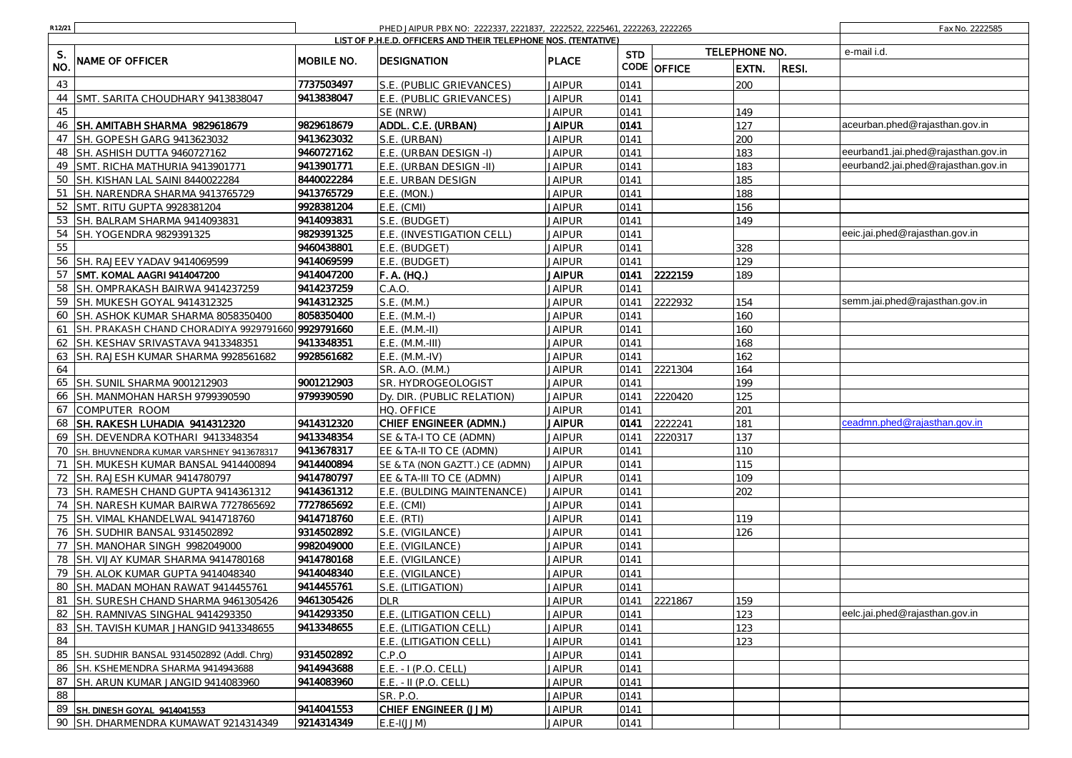| R12/21 |                                              |            | PHED JAIPUR PBX NO: 2222337, 2221837, 2222522, 2225461, 2222263, 2222265 |               |            |             |               |       | Fax No. 2222585                     |
|--------|----------------------------------------------|------------|--------------------------------------------------------------------------|---------------|------------|-------------|---------------|-------|-------------------------------------|
|        |                                              |            | LIST OF P.H.E.D. OFFICERS AND THEIR TELEPHONE NOS. (TENTATIVE)           |               |            |             |               |       |                                     |
| S.     | NAME OF OFFICER                              | MOBILE NO. | DESIGNATION                                                              | PLACE         | <b>STD</b> |             | TELEPHONE NO. |       | e-mail i.d.                         |
| NO.    |                                              |            |                                                                          |               |            | CODE OFFICE | EXTN.         | RESI. |                                     |
| 43     |                                              | 7737503497 | S.E. (PUBLIC GRIEVANCES)                                                 | <b>JAIPUR</b> | 0141       |             | 200           |       |                                     |
| 44     | SMT. SARITA CHOUDHARY 9413838047             | 9413838047 | E.E. (PUBLIC GRIEVANCES)                                                 | <b>JAIPUR</b> | 0141       |             |               |       |                                     |
| 45     |                                              |            | SE (NRW)                                                                 | <b>JAIPUR</b> | 0141       |             | 149           |       |                                     |
| 46     | SH. AMITABH SHARMA 9829618679                | 9829618679 | ADDL. C.E. (URBAN)                                                       | <b>JAIPUR</b> | 0141       |             | 127           |       | aceurban.phed@rajasthan.gov.in      |
| 47     | SH. GOPESH GARG 9413623032                   | 9413623032 | S.E. (URBAN)                                                             | <b>JAIPUR</b> | 0141       |             | 200           |       |                                     |
| 48     | SH. ASHISH DUTTA 9460727162                  | 9460727162 | E.E. (URBAN DESIGN -I)                                                   | <b>JAIPUR</b> | 0141       |             | 183           |       | eeurband1.jai.phed@rajasthan.gov.in |
| 49     | SMT. RICHA MATHURIA 9413901771               | 9413901771 | E.E. (URBAN DESIGN -II)                                                  | <b>JAIPUR</b> | 0141       |             | 183           |       | eeurband2.jai.phed@rajasthan.gov.in |
| 50     | SH. KISHAN LAL SAINI 8440022284              | 8440022284 | E.E. URBAN DESIGN                                                        | <b>JAIPUR</b> | 0141       |             | 185           |       |                                     |
| 51     | SH. NARENDRA SHARMA 9413765729               | 9413765729 | E.E. (MON.)                                                              | <b>JAIPUR</b> | 0141       |             | 188           |       |                                     |
| 52     | SMT. RITU GUPTA 9928381204                   | 9928381204 | E.E. (CMI)                                                               | <b>JAIPUR</b> | 0141       |             | 156           |       |                                     |
| 53     | SH. BALRAM SHARMA 9414093831                 | 9414093831 | S.E. (BUDGET)                                                            | <b>JAIPUR</b> | 0141       |             | 149           |       |                                     |
| 54     | SH. YOGENDRA 9829391325                      | 9829391325 | E.E. (INVESTIGATION CELL)                                                | <b>JAIPUR</b> | 0141       |             |               |       | eeic.jai.phed@rajasthan.gov.in      |
| 55     |                                              | 9460438801 | E.E. (BUDGET)                                                            | <b>JAIPUR</b> | 0141       |             | 328           |       |                                     |
| 56     | SH. RAJEEV YADAV 9414069599                  | 9414069599 | E.E. (BUDGET)                                                            | <b>JAIPUR</b> | 0141       |             | 129           |       |                                     |
| 57     | SMT. KOMAL AAGRI 9414047200                  | 9414047200 | F. A. (HQ.)                                                              | <b>JAIPUR</b> | 0141       | 2222159     | 189           |       |                                     |
| 58     | SH. OMPRAKASH BAIRWA 9414237259              | 9414237259 | C.A.O                                                                    | <b>JAIPUR</b> | 0141       |             |               |       |                                     |
| 59     | SH. MUKESH GOYAL 9414312325                  | 9414312325 | S.E. (M.M.)                                                              | <b>JAIPUR</b> | 0141       | 2222932     | 154           |       | semm.jai.phed@rajasthan.gov.in      |
| 60     | SH. ASHOK KUMAR SHARMA 8058350400            | 8058350400 | $E.E. (M.M.-I)$                                                          | <b>JAIPUR</b> | 0141       |             | 160           |       |                                     |
| 61     | SH. PRAKASH CHAND CHORADIYA 9929791660       | 9929791660 | $E.E. (M.M.-II)$                                                         | <b>JAIPUR</b> | 0141       |             | 160           |       |                                     |
| 62     | SH. KESHAV SRIVASTAVA 9413348351             | 9413348351 | $E.E. (M.M.-III)$                                                        | <b>JAIPUR</b> | 0141       |             | 168           |       |                                     |
| 63     | SH. RAJESH KUMAR SHARMA 9928561682           | 9928561682 | $E.E. (M.M.-IV)$                                                         | <b>JAIPUR</b> | 0141       |             | 162           |       |                                     |
| 64     |                                              |            | SR. A.O. (M.M.)                                                          | <b>JAIPUR</b> | 0141       | 2221304     | 164           |       |                                     |
| 65     | SH. SUNIL SHARMA 9001212903                  | 9001212903 | SR. HYDROGEOLOGIST                                                       | <b>JAIPUR</b> | 0141       |             | 199           |       |                                     |
| 66     | SH. MANMOHAN HARSH 9799390590                | 9799390590 | Dy. DIR. (PUBLIC RELATION)                                               | <b>JAIPUR</b> | 0141       | 2220420     | 125           |       |                                     |
| 67     | COMPUTER ROOM                                |            | HQ. OFFICE                                                               | <b>JAIPUR</b> | 0141       |             | 201           |       |                                     |
| 68     | SH. RAKESH LUHADIA 9414312320                | 9414312320 | CHIEF ENGINEER (ADMN.)                                                   | <b>JAIPUR</b> | 0141       | 2222241     | 181           |       | ceadmn.phed@rajasthan.gov.in        |
| 69     | SH. DEVENDRA KOTHARI 9413348354              | 9413348354 | SE & TA-I TO CE (ADMN)                                                   | <b>JAIPUR</b> | 0141       | 2220317     | 137           |       |                                     |
| 70     | SH. BHUVNENDRA KUMAR VARSHNEY 9413678317     | 9413678317 | EE & TA-II TO CE (ADMN)                                                  | <b>JAIPUR</b> | 0141       |             | 110           |       |                                     |
| 71     | SH. MUKESH KUMAR BANSAL 9414400894           | 9414400894 | SE & TA (NON GAZTT.) CE (ADMN)                                           | <b>JAIPUR</b> | 0141       |             | 115           |       |                                     |
| 72     | SH. RAJESH KUMAR 9414780797                  | 9414780797 | EE & TA-III TO CE (ADMN)                                                 | <b>JAIPUR</b> | 0141       |             | 109           |       |                                     |
| 73     | SH. RAMESH CHAND GUPTA 9414361312            | 9414361312 | E.E. (BULDING MAINTENANCE)                                               | <b>JAIPUR</b> | 0141       |             | 202           |       |                                     |
| 74     | SH. NARESH KUMAR BAIRWA 7727865692           | 7727865692 | E.E. (CMI)                                                               | <b>JAIPUR</b> | 0141       |             |               |       |                                     |
| 75     | SH. VIMAL KHANDELWAL 9414718760              | 9414718760 | E.E. (RTI)                                                               | <b>JAIPUR</b> | 0141       |             | 119           |       |                                     |
| 76     | SH. SUDHIR BANSAL 9314502892                 | 9314502892 | S.E. (VIGILANCE)                                                         | <b>JAIPUR</b> | 0141       |             | 126           |       |                                     |
| 77     | SH. MANOHAR SINGH 9982049000                 | 9982049000 | E.E. (VIGILANCE)                                                         | <b>JAIPUR</b> | 0141       |             |               |       |                                     |
| 78     | SH. VIJAY KUMAR SHARMA 9414780168            | 9414780168 | E.E. (VIGILANCE)                                                         | <b>JAIPUR</b> | 0141       |             |               |       |                                     |
| 79     | SH. ALOK KUMAR GUPTA 9414048340              | 9414048340 | E.E. (VIGILANCE)                                                         | <b>JAIPUR</b> | 0141       |             |               |       |                                     |
| 80     | SH. MADAN MOHAN RAWAT 9414455761             | 9414455761 | S.E. (LITIGATION)                                                        | <b>JAIPUR</b> | 0141       |             |               |       |                                     |
|        | 81 SH. SURESH CHAND SHARMA 9461305426        | 9461305426 | <b>DLR</b>                                                               | <b>JAIPUR</b> | 0141       | 2221867     | 159           |       |                                     |
|        | 82 SH. RAMNIVAS SINGHAL 9414293350           | 9414293350 | E.E. (LITIGATION CELL)                                                   | <b>JAIPUR</b> | 0141       |             | 123           |       | eelc.jai.phed@rajasthan.gov.in      |
| 83     | SH. TAVISH KUMAR JHANGID 9413348655          | 9413348655 | E.E. (LITIGATION CELL)                                                   | <b>JAIPUR</b> | 0141       |             | 123           |       |                                     |
| 84     |                                              |            | E.E. (LITIGATION CELL)                                                   | <b>JAIPUR</b> | 0141       |             | 123           |       |                                     |
|        | 85 SH. SUDHIR BANSAL 9314502892 (Addl. Chrg) | 9314502892 | C.P.O                                                                    | <b>JAIPUR</b> | 0141       |             |               |       |                                     |
| 86     | SH. KSHEMENDRA SHARMA 9414943688             | 9414943688 | E.E. - I (P.O. CELL)                                                     | <b>JAIPUR</b> | 0141       |             |               |       |                                     |
|        | 87 SH. ARUN KUMAR JANGID 9414083960          | 9414083960 | $E.E. - II (P.O. CELL)$                                                  | <b>JAIPUR</b> | 0141       |             |               |       |                                     |
| 88     |                                              |            | SR. P.O.                                                                 | <b>JAIPUR</b> | 0141       |             |               |       |                                     |
|        | 89 SH. DINESH GOYAL 9414041553               | 9414041553 | CHIEF ENGINEER (JJM)                                                     | <b>JAIPUR</b> | 0141       |             |               |       |                                     |
|        | 90 SH. DHARMENDRA KUMAWAT 9214314349         | 9214314349 | $E.E-I(JJM)$                                                             | <b>JAIPUR</b> | 0141       |             |               |       |                                     |
|        |                                              |            |                                                                          |               |            |             |               |       |                                     |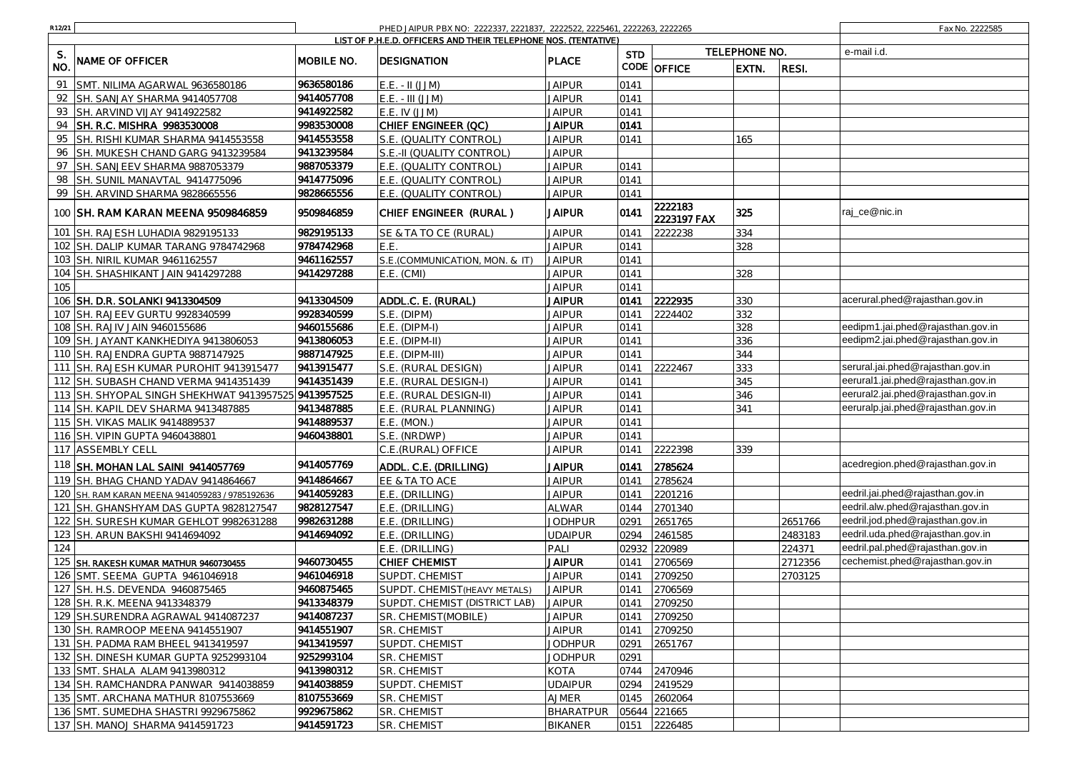| R12/21 |                                             |            | PHED JAIPUR PBX NO: 2222337, 2221837, 2222522, 2225461, 2222263, 2222265 |                  |            |                        |               |         | Fax No. 2222585                    |
|--------|---------------------------------------------|------------|--------------------------------------------------------------------------|------------------|------------|------------------------|---------------|---------|------------------------------------|
|        |                                             |            | LIST OF P.H.E.D. OFFICERS AND THEIR TELEPHONE NOS. (TENTATIVE)           |                  |            |                        |               |         |                                    |
| S.     |                                             |            |                                                                          |                  | <b>STD</b> |                        | TELEPHONE NO. |         | e-mail i.d.                        |
| NO.    | NAME OF OFFICER                             | MOBILE NO. | <b>DESIGNATION</b>                                                       | <b>PLACE</b>     |            | CODE OFFICE            | EXTN.         | RESI.   |                                    |
| 91     | SMT. NILIMA AGARWAL 9636580186              | 9636580186 | E.E. - II (JJM)                                                          | <b>JAIPUR</b>    | 0141       |                        |               |         |                                    |
| 92     | SH. SANJAY SHARMA 9414057708                | 9414057708 | E.E. - III (JJM)                                                         | <b>JAIPUR</b>    | 0141       |                        |               |         |                                    |
| 93     | SH. ARVIND VIJAY 9414922582                 | 9414922582 | E.E. IV (JJM)                                                            | <b>JAIPUR</b>    | 0141       |                        |               |         |                                    |
| 94     | SH. R.C. MISHRA 9983530008                  | 9983530008 | CHIEF ENGINEER (QC)                                                      | JAIPUR           | 0141       |                        |               |         |                                    |
| 95     | SH. RISHI KUMAR SHARMA 9414553558           | 9414553558 | S.E. (QUALITY CONTROL)                                                   | <b>JAIPUR</b>    | 0141       |                        | 165           |         |                                    |
| 96     | SH. MUKESH CHAND GARG 9413239584            | 9413239584 | S.E.-II (QUALITY CONTROL)                                                | <b>JAIPUR</b>    |            |                        |               |         |                                    |
| 97     | SH. SANJEEV SHARMA 9887053379               | 9887053379 | E.E. (QUALITY CONTROL)                                                   | <b>JAIPUR</b>    | 0141       |                        |               |         |                                    |
| 98     | SH. SUNIL MANAVTAL 9414775096               | 9414775096 | E.E. (QUALITY CONTROL)                                                   | <b>JAIPUR</b>    | 0141       |                        |               |         |                                    |
| 99     | SH. ARVIND SHARMA 9828665556                | 9828665556 | E.E. (QUALITY CONTROL)                                                   | <b>JAIPUR</b>    | 0141       |                        |               |         |                                    |
|        | 100 SH. RAM KARAN MEENA 9509846859          | 9509846859 | CHIEF ENGINEER (RURAL)                                                   | <b>JAIPUR</b>    | 0141       | 2222183<br>2223197 FAX | 325           |         | raj_ce@nic.in                      |
|        | 101 SH. RAJESH LUHADIA 9829195133           | 9829195133 | SE & TA TO CE (RURAL)                                                    | <b>JAIPUR</b>    | 0141       | 2222238                | 334           |         |                                    |
| 102    | SH. DALIP KUMAR TARANG 9784742968           | 9784742968 | F.F.                                                                     | <b>JAIPUR</b>    | 0141       |                        | 328           |         |                                    |
| 103    | SH. NIRIL KUMAR 9461162557                  | 9461162557 | S.E.(COMMUNICATION, MON. & IT)                                           | <b>JAIPUR</b>    | 0141       |                        |               |         |                                    |
| 104    | SH. SHASHIKANT JAIN 9414297288              | 9414297288 | E.E. (CMI)                                                               | <b>JAIPUR</b>    | 0141       |                        | 328           |         |                                    |
| 105    |                                             |            |                                                                          | <b>JAIPUR</b>    | 0141       |                        |               |         |                                    |
|        | 106 SH. D.R. SOLANKI 9413304509             | 9413304509 | ADDL.C. E. (RURAL)                                                       | <b>JAIPUR</b>    | 0141       | 2222935                | 330           |         | acerural.phed@rajasthan.gov.in     |
| 107    | SH. RAJEEV GURTU 9928340599                 | 9928340599 | S.E. (DIPM)                                                              | <b>JAIPUR</b>    | 0141       | 2224402                | 332           |         |                                    |
| 108    | SH. RAJIV JAIN 9460155686                   | 9460155686 | $E.E. (DIPM-I)$                                                          | <b>JAIPUR</b>    | 0141       |                        | 328           |         | eedipm1.jai.phed@rajasthan.gov.in  |
| 109    | SH. JAYANT KANKHEDIYA 9413806053            | 9413806053 | $E.E.$ (DIPM-II)                                                         | <b>JAIPUR</b>    | 0141       |                        | 336           |         | eedipm2.jai.phed@rajasthan.gov.in  |
|        | 110 SH. RAJENDRA GUPTA 9887147925           | 9887147925 | $E.E.$ (DIPM-III)                                                        | <b>JAIPUR</b>    | 0141       |                        | 344           |         |                                    |
| 111    | SH. RAJESH KUMAR PUROHIT 9413915477         | 9413915477 | S.E. (RURAL DESIGN)                                                      | <b>JAIPUR</b>    | 0141       | 2222467                | 333           |         | serural.jai.phed@rajasthan.gov.in  |
| 112    | SH. SUBASH CHAND VERMA 9414351439           | 9414351439 | E.E. (RURAL DESIGN-I)                                                    | <b>JAIPUR</b>    | 0141       |                        | 345           |         | eerural1.jai.phed@rajasthan.gov.in |
| 113    | SH. SHYOPAL SINGH SHEKHWAT 941395752        | 9413957525 | E.E. (RURAL DESIGN-II)                                                   | <b>JAIPUR</b>    | 0141       |                        | 346           |         | eerural2.jai.phed@rajasthan.gov.in |
| 114    | SH. KAPIL DEV SHARMA 9413487885             | 9413487885 | E.E. (RURAL PLANNING)                                                    | <b>JAIPUR</b>    | 0141       |                        | 341           |         | eeruralp.jai.phed@rajasthan.gov.in |
| 115    | SH. VIKAS MALIK 9414889537                  | 9414889537 | E.E. (MON.)                                                              | <b>JAIPUR</b>    | 0141       |                        |               |         |                                    |
| 116    | SH. VIPIN GUPTA 9460438801                  | 9460438801 | S.E. (NRDWP)                                                             | <b>JAIPUR</b>    | 0141       |                        |               |         |                                    |
|        | 117 ASSEMBLY CELL                           |            | C.E.(RURAL) OFFICE                                                       | <b>JAIPUR</b>    | 0141       | 2222398                | 339           |         |                                    |
| 118    | SH. MOHAN LAL SAINI 9414057769              | 9414057769 | ADDL. C.E. (DRILLING)                                                    | <b>JAIPUR</b>    | 0141       | 2785624                |               |         | acedregion.phed@rajasthan.gov.in   |
|        | 119 SH. BHAG CHAND YADAV 9414864667         | 9414864667 | EE & TA TO ACE                                                           | <b>JAIPUR</b>    | 0141       | 2785624                |               |         |                                    |
| 120    | SH. RAM KARAN MEENA 9414059283 / 9785192636 | 9414059283 | E.E. (DRILLING)                                                          | <b>JAIPUR</b>    | 0141       | 2201216                |               |         | eedril.jai.phed@rajasthan.gov.in   |
|        | 121 SH. GHANSHYAM DAS GUPTA 9828127547      | 9828127547 | E.E. (DRILLING)                                                          | <b>ALWAR</b>     | 0144       | 2701340                |               |         | eedril.alw.phed@rajasthan.gov.in   |
| 122    | SH. SURESH KUMAR GEHLOT 9982631288          | 9982631288 | E.E. (DRILLING)                                                          | <b>JODHPUR</b>   | 0291       | 2651765                |               | 2651766 | eedril.jod.phed@rajasthan.gov.in   |
| 123    | SH. ARUN BAKSHI 9414694092                  | 9414694092 | E.E. (DRILLING)                                                          | <b>UDAIPUR</b>   | 0294       | 2461585                |               | 2483183 | eedril.uda.phed@rajasthan.gov.in   |
| 124    |                                             |            | E.E. (DRILLING)                                                          | PALI             | 02932      | 220989                 |               | 224371  | eedril.pal.phed@rajasthan.gov.in   |
| 125    | SH. RAKESH KUMAR MATHUR 9460730455          | 9460730455 | <b>CHIEF CHEMIST</b>                                                     | <b>JAIPUR</b>    | 0141       | 2706569                |               | 2712356 | cechemist.phed@rajasthan.gov.in    |
| 126    | SMT. SEEMA GUPTA 9461046918                 | 9461046918 | SUPDT. CHEMIST                                                           | <b>JAIPUR</b>    | 0141       | 2709250                |               | 2703125 |                                    |
|        | 127 SH. H.S. DEVENDA 9460875465             | 9460875465 | SUPDT. CHEMIST (HEAVY METALS)                                            | <b>JAIPUR</b>    | 0141       | 2706569                |               |         |                                    |
|        | 128 SH. R.K. MEENA 9413348379               | 9413348379 | SUPDT. CHEMIST (DISTRICT LAB)                                            | <b>JAIPUR</b>    | 0141       | 2709250                |               |         |                                    |
|        | 129 SH.SURENDRA AGRAWAL 9414087237          | 9414087237 | SR. CHEMIST(MOBILE)                                                      | <b>JAIPUR</b>    | 0141       | 2709250                |               |         |                                    |
|        | 130 SH. RAMROOP MEENA 9414551907            | 9414551907 | SR. CHEMIST                                                              | <b>JAIPUR</b>    | 0141       | 2709250                |               |         |                                    |
|        | 131 SH. PADMA RAM BHEEL 9413419597          | 9413419597 | SUPDT. CHEMIST                                                           | <b>JODHPUR</b>   | 0291       | 2651767                |               |         |                                    |
|        | 132 SH. DINESH KUMAR GUPTA 9252993104       | 9252993104 | SR. CHEMIST                                                              | <b>JODHPUR</b>   | 0291       |                        |               |         |                                    |
|        | 133 SMT. SHALA ALAM 9413980312              | 9413980312 | SR. CHEMIST                                                              | KOTA             | 0744       | 2470946                |               |         |                                    |
|        | 134 SH. RAMCHANDRA PANWAR 9414038859        | 9414038859 | SUPDT. CHEMIST                                                           | <b>UDAIPUR</b>   | 0294       | 2419529                |               |         |                                    |
|        | 135 SMT. ARCHANA MATHUR 8107553669          | 8107553669 | SR. CHEMIST                                                              | <b>AJMER</b>     | 0145       | 2602064                |               |         |                                    |
|        | 136 SMT. SUMEDHA SHASTRI 9929675862         | 9929675862 | SR. CHEMIST                                                              | <b>BHARATPUR</b> | 05644      | 221665                 |               |         |                                    |
|        | 137 SH. MANOJ SHARMA 9414591723             | 9414591723 | SR. CHEMIST                                                              | <b>BIKANER</b>   |            | 0151 2226485           |               |         |                                    |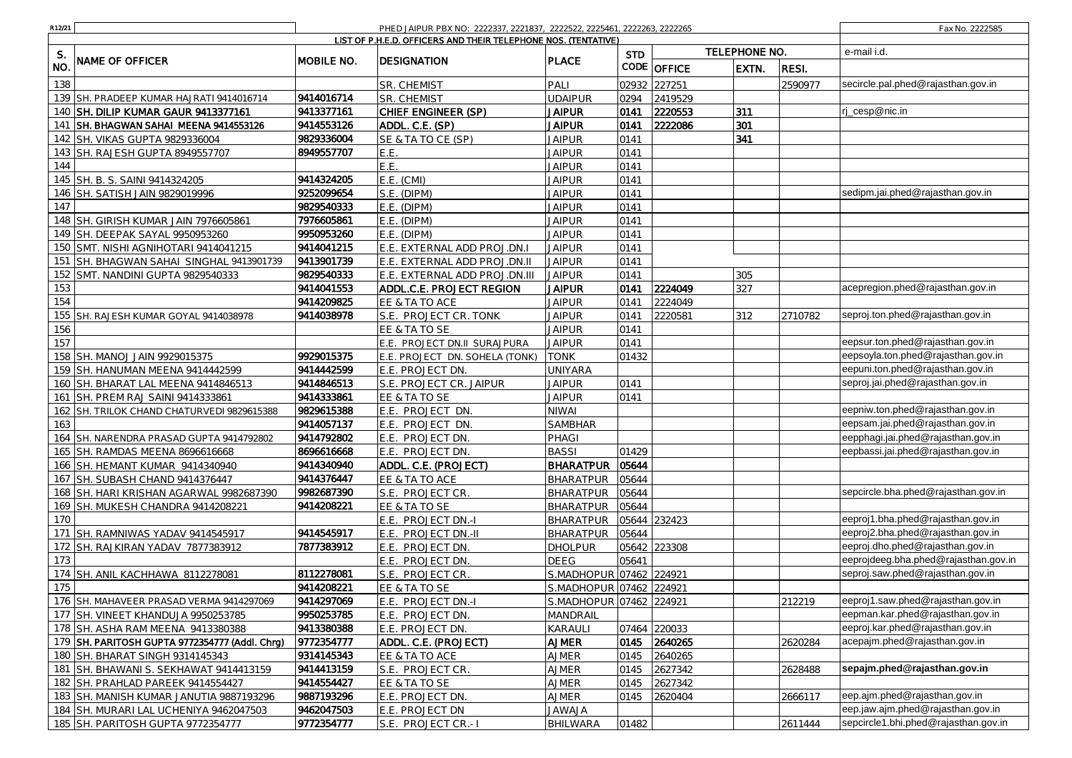| R12/21          |                                                |                   | PHED JAIPUR PBX NO: 2222337, 2221837, 2222522, 2225461, 2222263, 2222265 |                           |                    |         |                        |         | Fax No. 2222585                      |
|-----------------|------------------------------------------------|-------------------|--------------------------------------------------------------------------|---------------------------|--------------------|---------|------------------------|---------|--------------------------------------|
|                 |                                                |                   | LIST OF P.H.E.D. OFFICERS AND THEIR TELEPHONE NOS. (TENTATIVE)           |                           |                    |         |                        |         |                                      |
| S.<br><b>NO</b> | NAME OF OFFICER                                | <b>MOBILE NO.</b> | DESIGNATION                                                              | PLACE                     | <b>STD</b><br>CODE | OFFICE  | TELEPHONE NO.<br>EXTN. | RESI.   | e-mail i.d.                          |
| 138             |                                                |                   | SR. CHEMIST                                                              | PALI                      | 02932              | 227251  |                        | 2590977 | secircle.pal.phed@rajasthan.gov.in   |
|                 | 139 SH. PRADEEP KUMAR HAJRATI 9414016714       | 9414016714        | SR. CHEMIST                                                              | <b>UDAIPUR</b>            | 0294               | 2419529 |                        |         |                                      |
|                 | 140 SH. DILIP KUMAR GAUR 9413377161            | 9413377161        | CHIEF ENGINEER (SP)                                                      | <b>JAIPUR</b>             | 0141               | 2220553 | 311                    |         | rj_cesp@nic.in                       |
|                 | 141 SH. BHAGWAN SAHAI MEENA 9414553126         | 9414553126        | ADDL. C.E. (SP)                                                          | <b>JAIPUR</b>             | 0141               | 2222086 | 301                    |         |                                      |
|                 | 142 SH. VIKAS GUPTA 9829336004                 | 9829336004        | SE & TA TO CE (SP)                                                       | <b>JAIPUR</b>             | 0141               |         | 341                    |         |                                      |
|                 | 143 SH. RAJESH GUPTA 8949557707                | 8949557707        | E.E.                                                                     | <b>JAIPUR</b>             | 0141               |         |                        |         |                                      |
| 144             |                                                |                   | E.E.                                                                     | <b>JAIPUR</b>             | 0141               |         |                        |         |                                      |
|                 | 145 SH. B. S. SAINI 9414324205                 | 9414324205        | E.E. (CMI)                                                               | <b>JAIPUR</b>             | 0141               |         |                        |         |                                      |
|                 | 146 SH. SATISH JAIN 9829019996                 | 9252099654        | S.E. (DIPM)                                                              | <b>JAIPUR</b>             | 0141               |         |                        |         | sedipm.jai.phed@rajasthan.gov.in     |
| 147             |                                                | 9829540333        | E.E. (DIPM)                                                              | <b>JAIPUR</b>             | 0141               |         |                        |         |                                      |
|                 | 148 SH. GIRISH KUMAR JAIN 7976605861           | 7976605861        | E.E. (DIPM)                                                              | <b>JAIPUR</b>             | 0141               |         |                        |         |                                      |
|                 | 149 SH. DEEPAK SAYAL 9950953260                | 9950953260        | E.E. (DIPM)                                                              | <b>JAIPUR</b>             | 0141               |         |                        |         |                                      |
|                 | 150 SMT. NISHI AGNIHOTARI 9414041215           | 9414041215        | E.E. EXTERNAL ADD PROJ.DN.I                                              | <b>JAIPUR</b>             | 0141               |         |                        |         |                                      |
|                 | 151 SH. BHAGWAN SAHAI SINGHAL 9413901739       | 9413901739        | E.E. EXTERNAL ADD PROJ.DN.II                                             | <b>JAIPUR</b>             | 0141               |         |                        |         |                                      |
|                 | 152 SMT. NANDINI GUPTA 9829540333              | 9829540333        | E.E. EXTERNAL ADD PROJ.DN.III                                            | <b>JAIPUR</b>             | 0141               |         | 305                    |         |                                      |
| 153             |                                                | 9414041553        | ADDL.C.E. PROJECT REGION                                                 | <b>JAIPUR</b>             | 0141               | 2224049 | 327                    |         | acepregion.phed@rajasthan.gov.in     |
| 154             |                                                | 9414209825        | EE & TA TO ACE                                                           | <b>JAIPUR</b>             | 0141               | 2224049 |                        |         |                                      |
|                 | 155 SH. RAJESH KUMAR GOYAL 9414038978          | 9414038978        | S.E. PROJECT CR. TONK                                                    | <b>JAIPUR</b>             | 0141               | 2220581 | 312                    | 2710782 | seproj.ton.phed@rajasthan.gov.in     |
| 156             |                                                |                   | EE & TA TO SE                                                            | <b>JAIPUR</b>             | 0141               |         |                        |         |                                      |
| 157             |                                                |                   | E.E. PROJECT DN.II SURAJPURA                                             | <b>JAIPUR</b>             | 0141               |         |                        |         | eepsur.ton.phed@rajasthan.gov.in     |
|                 | 158 SH. MANOJ JAIN 9929015375                  | 9929015375        | E.E. PROJECT DN. SOHELA (TONK)                                           | TONK                      | 01432              |         |                        |         | eepsoyla.ton.phed@rajasthan.gov.in   |
|                 | 159 SH. HANUMAN MEENA 9414442599               | 9414442599        | E.E. PROJECT DN.                                                         | UNIYARA                   |                    |         |                        |         | eepuni.ton.phed@rajasthan.gov.in     |
|                 | 160 SH. BHARAT LAL MEENA 9414846513            | 9414846513        | S.E. PROJECT CR. JAIPUR                                                  | <b>JAIPUR</b>             | 0141               |         |                        |         | seproj.jai.phed@rajasthan.gov.in     |
|                 | 161 SH. PREM RAJ SAINI 9414333861              | 9414333861        | EE & TA TO SE                                                            | <b>JAIPUR</b>             | 0141               |         |                        |         |                                      |
|                 | 162 SH. TRILOK CHAND CHATURVEDI 9829615388     | 9829615388        | E.E. PROJECT DN.                                                         | NIWAI                     |                    |         |                        |         | eepniw.ton.phed@rajasthan.gov.in     |
| 163             |                                                | 9414057137        | E.E. PROJECT DN                                                          | SAMBHAR                   |                    |         |                        |         | eepsam.jai.phed@rajasthan.gov.in     |
|                 | 164 SH. NARENDRA PRASAD GUPTA 9414792802       | 9414792802        | E.E. PROJECT DN                                                          | PHAGI                     |                    |         |                        |         | eepphagi.jai.phed@rajasthan.gov.in   |
|                 | 165 SH. RAMDAS MEENA 8696616668                | 8696616668        | E.E. PROJECT DN.                                                         | <b>BASSI</b>              | 01429              |         |                        |         | eepbassi.jai.phed@rajasthan.gov.in   |
|                 | 166 SH. HEMANT KUMAR 9414340940                | 9414340940        | ADDL. C.E. (PROJECT)                                                     | <b>BHARATPUR</b>          | 05644              |         |                        |         |                                      |
|                 | 167 SH. SUBASH CHAND 9414376447                | 9414376447        | EE & TA TO ACE                                                           | <b>BHARATPUR</b>          | 05644              |         |                        |         |                                      |
|                 | 168 SH. HARI KRISHAN AGARWAL 9982687390        | 9982687390        | S.E. PROJECT CR.                                                         | <b>BHARATPUR</b>          | 05644              |         |                        |         | sepcircle.bha.phed@rajasthan.gov.in  |
|                 | 169 SH. MUKESH CHANDRA 9414208221              | 9414208221        | EE & TA TO SE                                                            | BHARATPUR                 | 05644              |         |                        |         |                                      |
| 170             |                                                |                   | E.E. PROJECT DN.-I                                                       | <b>BHARATPUR</b>          | 05644              | 232423  |                        |         | eeproj1.bha.phed@rajasthan.gov.in    |
|                 | 171 SH. RAMNIWAS YADAV 9414545917              | 9414545917        | E.E. PROJECT DN.-II                                                      | BHARATPUR                 | 05644              |         |                        |         | eeproj2.bha.phed@rajasthan.gov.in    |
| 172             | SH. RAJKIRAN YADAV 7877383912                  | 7877383912        | E.E.<br><b>PROJECT DN</b>                                                | DHOLPUR                   | 05642              | 223308  |                        |         | eeproj.dho.phed@rajasthan.gov.in     |
| 173             |                                                |                   | E.E. PROJECT DN.                                                         | <b>DEEG</b>               | 05641              |         |                        |         | eeprojdeeg.bha.phed@rajasthan.gov.in |
|                 | 174 SH. ANIL KACHHAWA 8112278081               | 8112278081        | S.E. PROJECT CR.                                                         | S.MADHOPUR                | 07462              | 224921  |                        |         | seproj.saw.phed@rajasthan.gov.in     |
| 175             |                                                | 9414208221        | EE & TA TO SE                                                            | S.MADHOPUR                | 07462              | 224921  |                        |         |                                      |
|                 | 176   SH. MAHAVEER PRASAD VERMA 9414297069     | 9414297069        | E.E. PROJECT DN.-I                                                       | S.MADHOPUR 07462   224921 |                    |         |                        | 212219  | eeproj1.saw.phed@rajasthan.gov.in    |
|                 | 177 SH. VINEET KHANDUJA 9950253785             | 9950253785        | E.E. PROJECT DN.                                                         | MANDRAIL                  |                    |         |                        |         | eepman.kar.phed@rajasthan.gov.in     |
|                 | 178 SH. ASHA RAM MEENA 9413380388              | 9413380388        | E.E. PROJECT DN.                                                         | KARAULI                   | 07464              | 220033  |                        |         | eeproj.kar.phed@rajasthan.gov.in     |
|                 | 179 SH. PARITOSH GUPTA 9772354777 (Addl. Chrg) | 9772354777        | ADDL. C.E. (PROJECT)                                                     | <b>AJMER</b>              | 0145               | 2640265 |                        | 2620284 | acepajm.phed@rajasthan.gov.in        |
|                 | 180 SH. BHARAT SINGH 9314145343                | 9314145343        | EE & TA TO ACE                                                           | <b>AJMER</b>              | 0145               | 2640265 |                        |         |                                      |
|                 | 181 SH. BHAWANI S. SEKHAWAT 9414413159         | 9414413159        | S.E. PROJECT CR.                                                         | <b>AJMER</b>              | 0145               | 2627342 |                        | 2628488 | sepajm.phed@rajasthan.gov.in         |
|                 | 182 SH. PRAHLAD PAREEK 9414554427              | 9414554427        | EE & TA TO SE                                                            | AJMER                     | 0145               | 2627342 |                        |         |                                      |
|                 | 183 SH. MANISH KUMAR JANUTIA 9887193296        | 9887193296        | E.E. PROJECT DN.                                                         | <b>AJMER</b>              | 0145               | 2620404 |                        | 2666117 | eep.ajm.phed@rajasthan.gov.in        |
|                 | 184 SH. MURARI LAL UCHENIYA 9462047503         | 9462047503        | E.E. PROJECT DN                                                          | ALAWAJ                    |                    |         |                        |         | eep.jaw.ajm.phed@rajasthan.gov.in    |
|                 | 185 SH. PARITOSH GUPTA 9772354777              | 9772354777        | S.E. PROJECT CR.-1                                                       | <b>BHILWARA</b>           | 01482              |         |                        | 2611444 | sepcircle1.bhi.phed@rajasthan.gov.in |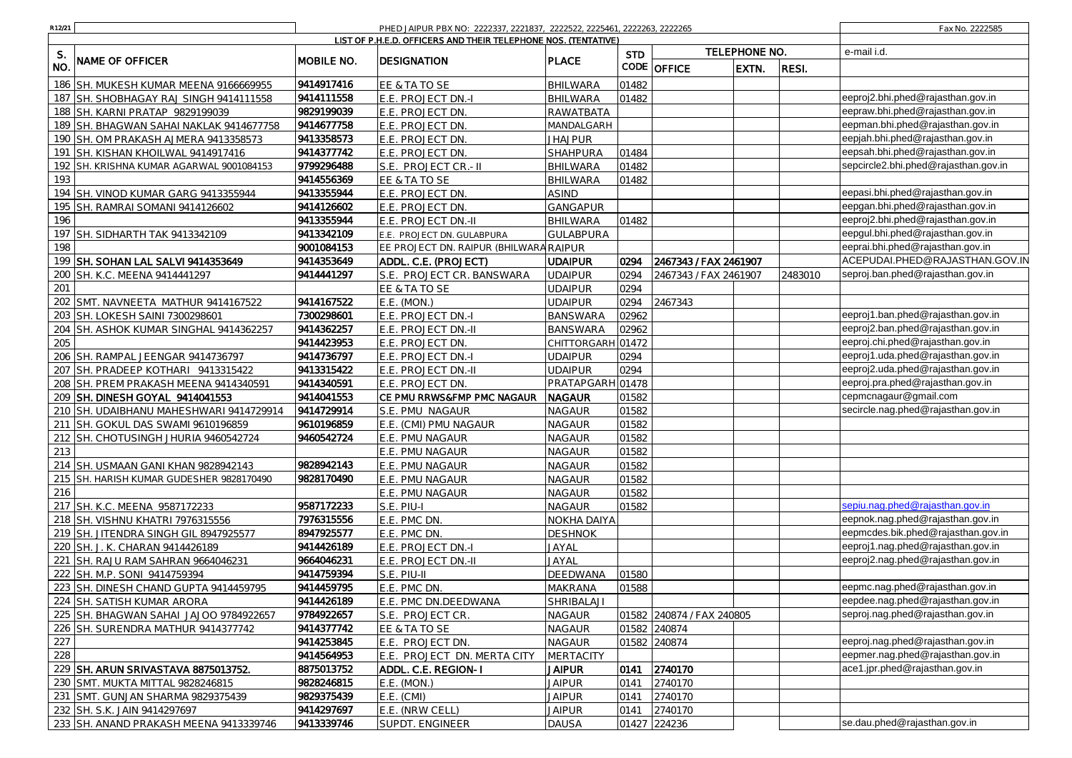| R12/21<br>PHED JAIPUR PBX NO: 2222337, 2221837, 2222522, 2225461, 2222263, 2222265 |                                        |            |                                                                |                   |            |                           |               |         | Fax No. 2222585                      |
|------------------------------------------------------------------------------------|----------------------------------------|------------|----------------------------------------------------------------|-------------------|------------|---------------------------|---------------|---------|--------------------------------------|
|                                                                                    |                                        |            | LIST OF P.H.E.D. OFFICERS AND THEIR TELEPHONE NOS. (TENTATIVE) |                   |            |                           |               |         |                                      |
| S.                                                                                 | NAME OF OFFICER                        | MOBILE NO. | <b>DESIGNATION</b>                                             | <b>PLACE</b>      | <b>STD</b> |                           | TELEPHONE NO. |         | e-mail i.d.                          |
| NO.                                                                                |                                        |            |                                                                |                   |            | CODE OFFICE               | EXTN.         | RESI.   |                                      |
| 186                                                                                | SH. MUKESH KUMAR MEENA 9166669955      | 9414917416 | EE & TA TO SE                                                  | <b>BHILWARA</b>   | 01482      |                           |               |         |                                      |
|                                                                                    | 187 SH. SHOBHAGAY RAJ SINGH 9414111558 | 9414111558 | E.E. PROJECT DN.-I                                             | <b>BHILWARA</b>   | 01482      |                           |               |         | eeproj2.bhi.phed@rajasthan.gov.in    |
| 188                                                                                | SH. KARNI PRATAP 9829199039            | 9829199039 | E.E. PROJECT DN                                                | <b>RAWATBATA</b>  |            |                           |               |         | eepraw.bhi.phed@rajasthan.gov.in     |
| 189                                                                                | SH. BHAGWAN SAHAI NAKLAK 9414677758    | 9414677758 | E.E. PROJECT DN.                                               | MANDALGARH        |            |                           |               |         | eepman.bhi.phed@rajasthan.gov.in     |
|                                                                                    | 190 SH. OM PRAKASH AJMERA 9413358573   | 9413358573 | E.E. PROJECT DN                                                | <b>JHAJPUR</b>    |            |                           |               |         | eepjah.bhi.phed@rajasthan.gov.in     |
| 191                                                                                | SH. KISHAN KHOILWAL 9414917416         | 9414377742 | E.E. PROJECT DN                                                | SHAHPURA          | 01484      |                           |               |         | eepsah.bhi.phed@rajasthan.gov.in     |
| 192                                                                                | SH. KRISHNA KUMAR AGARWAL 9001084153   | 9799296488 | S.E. PROJECT CR.- II                                           | <b>BHILWARA</b>   | 01482      |                           |               |         | sepcircle2.bhi.phed@rajasthan.gov.in |
| 193                                                                                |                                        | 9414556369 | EE & TA TO SE                                                  | <b>BHILWARA</b>   | 01482      |                           |               |         |                                      |
| 194                                                                                | SH. VINOD KUMAR GARG 9413355944        | 9413355944 | E.E. PROJECT DN.                                               | <b>ASIND</b>      |            |                           |               |         | eepasi.bhi.phed@rajasthan.gov.in     |
| 195                                                                                | SH. RAMRAI SOMANI 9414126602           | 9414126602 | E.E. PROJECT DN                                                | GANGAPUR          |            |                           |               |         | eepgan.bhi.phed@rajasthan.gov.in     |
| 196                                                                                |                                        | 9413355944 | E.E. PROJECT DN.-II                                            | <b>BHILWARA</b>   | 01482      |                           |               |         | eeproj2.bhi.phed@rajasthan.gov.in    |
|                                                                                    | 197 SH. SIDHARTH TAK 9413342109        | 9413342109 | E.E. PROJECT DN. GULABPURA                                     | GULABPURA         |            |                           |               |         | eepgul.bhi.phed@rajasthan.gov.in     |
| 198                                                                                |                                        | 9001084153 | EE PROJECT DN. RAIPUR (BHILWARA RAIPUR                         |                   |            |                           |               |         | eeprai.bhi.phed@rajasthan.gov.in     |
|                                                                                    | 199 SH. SOHAN LAL SALVI 9414353649     | 9414353649 | ADDL. C.E. (PROJECT)                                           | <b>UDAIPUR</b>    | 0294       | 2467343 / FAX 2461907     |               |         | ACEPUDAI.PHED@RAJASTHAN.GOV.IN       |
| 200                                                                                | SH. K.C. MEENA 9414441297              | 9414441297 | S.E. PROJECT CR. BANSWARA                                      | <b>UDAIPUR</b>    | 0294       | 2467343 / FAX 2461907     |               | 2483010 | seproj.ban.phed@rajasthan.gov.in     |
| 201                                                                                |                                        |            | EE & TA TO SE                                                  | <b>UDAIPUR</b>    | 0294       |                           |               |         |                                      |
| 202                                                                                | SMT. NAVNEETA MATHUR 9414167522        | 9414167522 | E.E. (MON.)                                                    | <b>UDAIPUR</b>    | 0294       | 2467343                   |               |         |                                      |
| 203                                                                                | SH. LOKESH SAINI 7300298601            | 7300298601 | E.E. PROJECT DN.-I                                             | <b>BANSWARA</b>   | 02962      |                           |               |         | eeproj1.ban.phed@rajasthan.gov.in    |
| 204                                                                                | SH. ASHOK KUMAR SINGHAL 9414362257     | 9414362257 | E.E. PROJECT DN.-II                                            | <b>BANSWARA</b>   | 02962      |                           |               |         | eeproj2.ban.phed@rajasthan.gov.in    |
| 205                                                                                |                                        | 9414423953 | E.E. PROJECT DN                                                | CHITTORGARH 01472 |            |                           |               |         | eeproj.chi.phed@rajasthan.gov.in     |
| 206                                                                                | SH. RAMPAL JEENGAR 9414736797          | 9414736797 | E.E. PROJECT DN.-I                                             | <b>UDAIPUR</b>    | 0294       |                           |               |         | eeproj1.uda.phed@rajasthan.gov.in    |
| 207                                                                                | SH. PRADEEP KOTHARI 9413315422         | 9413315422 | E.E. PROJECT DN.-II                                            | <b>UDAIPUR</b>    | 0294       |                           |               |         | eeproj2.uda.phed@rajasthan.gov.in    |
| 208                                                                                | SH. PREM PRAKASH MEENA 9414340591      | 9414340591 | E.E. PROJECT DN.                                               | PRATAPGARH 01478  |            |                           |               |         | eeproj.pra.phed@rajasthan.gov.in     |
| 209                                                                                | SH. DINESH GOYAL 9414041553            | 9414041553 | CE PMU RRWS&FMP PMC NAGAUR                                     | <b>NAGAUR</b>     | 01582      |                           |               |         | cepmcnagaur@gmail.com                |
| 210                                                                                | SH. UDAIBHANU MAHESHWARI 9414729914    | 9414729914 | S.E. PMU NAGAUR                                                | NAGAUR            | 01582      |                           |               |         | secircle.nag.phed@rajasthan.gov.in   |
| 211                                                                                | SH. GOKUL DAS SWAMI 9610196859         | 9610196859 | E.E. (CMI) PMU NAGAUR                                          | NAGAUR            | 01582      |                           |               |         |                                      |
| 212                                                                                | SH. CHOTUSINGH JHURIA 9460542724       | 9460542724 | E.E. PMU NAGAUR                                                | NAGAUR            | 01582      |                           |               |         |                                      |
| 213                                                                                |                                        |            | E.E. PMU NAGAUR                                                | <b>NAGAUR</b>     | 01582      |                           |               |         |                                      |
| 214                                                                                | SH. USMAAN GANI KHAN 9828942143        | 9828942143 | E.E. PMU NAGAUR                                                | NAGAUR            | 01582      |                           |               |         |                                      |
| 215                                                                                | SH. HARISH KUMAR GUDESHER 9828170490   | 9828170490 | E.E. PMU NAGAUR                                                | <b>NAGAUR</b>     | 01582      |                           |               |         |                                      |
| 216                                                                                |                                        |            | E.E. PMU NAGAUR                                                | <b>NAGAUR</b>     | 01582      |                           |               |         |                                      |
|                                                                                    | 217 SH. K.C. MEENA 9587172233          | 9587172233 | S.E. PIU-I                                                     | <b>NAGAUR</b>     | 01582      |                           |               |         | sepiu.nag.phed@rajasthan.gov.in      |
| 218                                                                                | SH. VISHNU KHATRI 7976315556           | 7976315556 | E.E. PMC DN                                                    | NOKHA DAIYA       |            |                           |               |         | eepnok.nag.phed@rajasthan.gov.in     |
| 219                                                                                | SH. JITENDRA SINGH GIL 8947925577      | 8947925577 | E.E. PMC DN                                                    | <b>DESHNOK</b>    |            |                           |               |         | eepmcdes.bik.phed@rajasthan.gov.in   |
| 220                                                                                | SH. J. K. CHARAN 9414426189            | 9414426189 | E.E. PROJECT DN.-I                                             | JAYAL             |            |                           |               |         | eeproj1.nag.phed@rajasthan.gov.in    |
| 221                                                                                | SH. RAJU RAM SAHRAN 9664046231         | 9664046231 | E.E. PROJECT DN.-II                                            | <b>JAYAL</b>      |            |                           |               |         | eeproj2.nag.phed@rajasthan.gov.in    |
| 222                                                                                | SH. M.P. SONI 9414759394               | 9414759394 | S.E. PIU-II                                                    | DEEDWANA          | 01580      |                           |               |         |                                      |
|                                                                                    | 223 SH. DINESH CHAND GUPTA 9414459795  | 9414459795 | E.E. PMC DN.                                                   | <b>MAKRANA</b>    | 01588      |                           |               |         | eepmc.nag.phed@rajasthan.gov.in      |
|                                                                                    | 224 SH. SATISH KUMAR ARORA             | 9414426189 | E.E. PMC DN.DEEDWANA                                           | SHRIBALAJI        |            |                           |               |         | eepdee.nag.phed@rajasthan.gov.in     |
|                                                                                    | 225 SH. BHAGWAN SAHAI JAJOO 9784922657 | 9784922657 | S.E. PROJECT CR.                                               | <b>NAGAUR</b>     |            | 01582 240874 / FAX 240805 |               |         | seproj.nag.phed@rajasthan.gov.in     |
|                                                                                    | 226 SH. SURENDRA MATHUR 9414377742     | 9414377742 | EE & TA TO SE                                                  | <b>NAGAUR</b>     |            | 01582 240874              |               |         |                                      |
| 227                                                                                |                                        | 9414253845 | E.E. PROJECT DN.                                               | <b>NAGAUR</b>     |            | 01582 240874              |               |         | eeproj.nag.phed@rajasthan.gov.in     |
| 228                                                                                |                                        | 9414564953 | E.E. PROJECT DN. MERTA CITY                                    | <b>MERTACITY</b>  |            |                           |               |         | eepmer.nag.phed@rajasthan.gov.in     |
|                                                                                    | 229 SH. ARUN SRIVASTAVA 8875013752.    | 8875013752 | ADDL. C.E. REGION-1                                            | <b>JAIPUR</b>     | 0141       | 2740170                   |               |         | ace1.jpr.phed@rajasthan.gov.in       |
|                                                                                    | 230 SMT. MUKTA MITTAL 9828246815       | 9828246815 | E.E. (MON.)                                                    | <b>JAIPUR</b>     | 0141       | 2740170                   |               |         |                                      |
|                                                                                    | 231 SMT. GUNJAN SHARMA 9829375439      | 9829375439 | E.E. (CMI)                                                     | <b>JAIPUR</b>     | 0141       | 2740170                   |               |         |                                      |
|                                                                                    | 232 SH. S.K. JAIN 9414297697           | 9414297697 | E.E. (NRW CELL)                                                | <b>JAIPUR</b>     | 0141       | 2740170                   |               |         |                                      |
|                                                                                    | 233 SH. ANAND PRAKASH MEENA 9413339746 | 9413339746 | SUPDT. ENGINEER                                                | <b>DAUSA</b>      |            | 01427 224236              |               |         | se.dau.phed@rajasthan.gov.in         |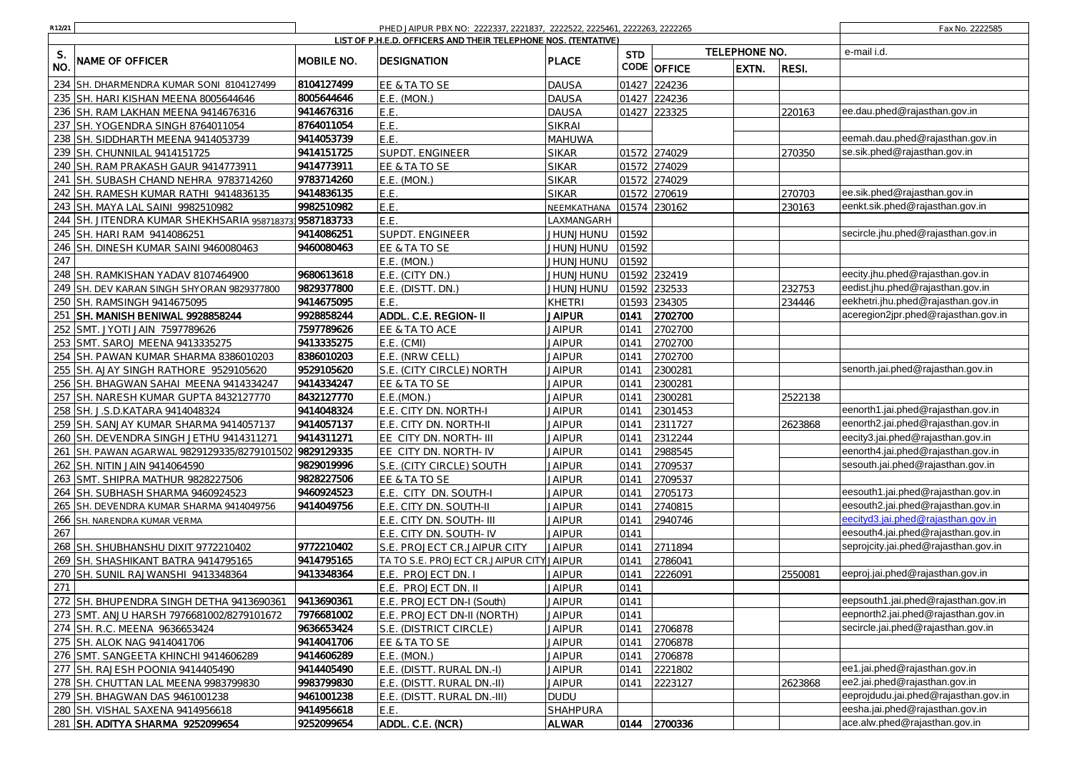| R12/21                                         |            | PHED JAIPUR PBX NO: 2222337, 2221837, 2222522, 2225461, 2222263, 2222265 |                 |            |              |               |         | Fax No. 2222585                      |
|------------------------------------------------|------------|--------------------------------------------------------------------------|-----------------|------------|--------------|---------------|---------|--------------------------------------|
|                                                |            | LIST OF P.H.E.D. OFFICERS AND THEIR TELEPHONE NOS. (TENTATIVE)           |                 |            |              |               |         |                                      |
| S.<br>NAME OF OFFICER                          |            |                                                                          | <b>PLACE</b>    | <b>STD</b> |              | TELEPHONE NO. |         | e-mail i.d.                          |
| <b>NO</b>                                      | MOBILE NO. | <b>DESIGNATION</b>                                                       |                 |            | CODE OFFICE  | EXTN.         | RESI.   |                                      |
| 234<br>SH. DHARMENDRA KUMAR SONI 8104127499    | 8104127499 | EE & TA TO SE                                                            | <b>DAUSA</b>    | 01427      | 224236       |               |         |                                      |
| 235<br>SH. HARI KISHAN MEENA 8005644646        | 8005644646 | $E.E.$ (MON.)                                                            | <b>DAUSA</b>    | 01427      | 224236       |               |         |                                      |
| 236<br>SH. RAM LAKHAN MEENA 9414676316         | 9414676316 | E.E.                                                                     | <b>DAUSA</b>    |            | 01427 223325 |               | 220163  | ee.dau.phed@rajasthan.gov.in         |
| 237<br>SH. YOGENDRA SINGH 8764011054           | 8764011054 | E.E.                                                                     | <b>SIKRAI</b>   |            |              |               |         |                                      |
| 238<br>SH. SIDDHARTH MEENA 9414053739          | 9414053739 | E.E.                                                                     | MAHUWA          |            |              |               |         | eemah.dau.phed@rajasthan.gov.in      |
| 239<br>CHUNNILAL 9414151725                    | 9414151725 | SUPDT. ENGINEER                                                          | <b>SIKAR</b>    | 01572      | 274029       |               | 270350  | se.sik.phed@rajasthan.gov.in         |
| 240<br>SH. RAM PRAKASH GAUR 9414773911         | 9414773911 | EE & TA TO SE                                                            | <b>SIKAR</b>    |            | 01572 274029 |               |         |                                      |
| 241<br>SH. SUBASH CHAND NEHRA 9783714260       | 9783714260 | E.E. (MON.)                                                              | <b>SIKAR</b>    | 01572      | 274029       |               |         |                                      |
| 242<br>SH. RAMESH KUMAR RATHI 9414836135       | 9414836135 | E.E.                                                                     | <b>SIKAR</b>    | 01572      | 270619       |               | 270703  | ee.sik.phed@rajasthan.gov.in         |
| 243<br>SH. MAYA LAL SAINI 9982510982           | 9982510982 | E.E.                                                                     | VEEMKATHANA     |            | 01574 230162 |               | 230163  | eenkt.sik.phed@rajasthan.gov.in      |
| 244<br>SH. JITENDRA KUMAR SHEKHSARIA 9587183   | 9587183733 | E.E.                                                                     | LAXMANGARH      |            |              |               |         |                                      |
| 245<br>SH. HARI RAM 9414086251                 | 9414086251 | SUPDT. ENGINEER                                                          | UNUHUNU         | 01592      |              |               |         | secircle.jhu.phed@rajasthan.gov.in   |
| 246<br>SH. DINESH KUMAR SAINI 9460080463       | 9460080463 | EE & TA TO SE                                                            | <b>UNUNJUNU</b> | 01592      |              |               |         |                                      |
| 247                                            |            | E.E. (MON.)                                                              | <b>UNUHUNU</b>  | 01592      |              |               |         |                                      |
| 248<br>SH. RAMKISHAN YADAV 8107464900          | 9680613618 | E.E. (CITY DN.)                                                          | <b>UNUNJUNU</b> |            | 01592 232419 |               |         | eecity.jhu.phed@rajasthan.gov.in     |
| 249<br>SH. DEV KARAN SINGH SHYORAN 9829377800  | 9829377800 | E.E. (DISTT. DN.)                                                        | <b>UNURIUNU</b> |            | 01592 232533 |               | 232753  | eedist.jhu.phed@rajasthan.gov.in     |
| 250<br>SH. RAMSINGH 9414675095                 | 9414675095 | F.F.                                                                     | <b>KHETRI</b>   | 01593      | 234305       |               | 234446  | eekhetri.jhu.phed@rajasthan.gov.in   |
| 251<br>SH. MANISH BENIWAL 9928858244           | 9928858244 | ADDL. C.E. REGION- II                                                    | <b>JAIPUR</b>   | 0141       | 2702700      |               |         | aceregion2jpr.phed@rajasthan.gov.in  |
| 252<br>SMT. JYOTI JAIN 7597789626              | 7597789626 | EE & TA TO ACE                                                           | <b>JAIPUR</b>   | 0141       | 2702700      |               |         |                                      |
| 253<br>SMT. SAROJ MEENA 9413335275             | 9413335275 | $E.E.$ (CMI)                                                             | <b>JAIPUR</b>   | 0141       | 2702700      |               |         |                                      |
| 254<br>SH. PAWAN KUMAR SHARMA 8386010203       | 8386010203 | E.E. (NRW CELL)                                                          | <b>JAIPUR</b>   | 0141       | 2702700      |               |         |                                      |
| 255<br>SH. AJAY SINGH RATHORE 9529105620       | 9529105620 | S.E. (CITY CIRCLE) NORTH                                                 | <b>JAIPUR</b>   | 0141       | 2300281      |               |         | senorth.jai.phed@rajasthan.gov.in    |
| 256<br>SH. BHAGWAN SAHAI MEENA 9414334247      | 9414334247 | EE & TA TO SE                                                            | <b>JAIPUR</b>   | 0141       | 2300281      |               |         |                                      |
| 257<br>SH. NARESH KUMAR GUPTA 8432127770       | 8432127770 | E.E.(MON.)                                                               | <b>JAIPUR</b>   | 0141       | 2300281      |               | 2522138 |                                      |
| 258<br>SH. J.S.D.KATARA 9414048324             | 9414048324 | E.E. CITY DN. NORTH-I                                                    | <b>JAIPUR</b>   | 0141       | 2301453      |               |         | eenorth1.jai.phed@rajasthan.gov.in   |
| 259<br>SH. SANJAY KUMAR SHARMA 9414057137      | 9414057137 | E.E. CITY DN. NORTH-II                                                   | <b>JAIPUR</b>   | 0141       | 2311727      |               | 2623868 | eenorth2.jai.phed@rajasthan.gov.in   |
| 260<br>SH. DEVENDRA SINGH JETHU 9414311271     | 9414311271 | EE CITY DN. NORTH- III                                                   | <b>JAIPUR</b>   | 0141       | 2312244      |               |         | eecity3.jai.phed@rajasthan.gov.in    |
| 261<br>SH. PAWAN AGARWAL 9829129335/827910150. | 9829129335 | EE CITY DN. NORTH- IV                                                    | <b>JAIPUR</b>   | 0141       | 2988545      |               |         | eenorth4.jai.phed@rajasthan.gov.in   |
| 262<br>SH. NITIN JAIN 9414064590               | 9829019996 | S.E. (CITY CIRCLE) SOUTH                                                 | <b>JAIPUR</b>   | 0141       | 2709537      |               |         | sesouth.jai.phed@rajasthan.gov.in    |
| 263<br>SMT. SHIPRA MATHUR 9828227506           | 9828227506 | EE & TA TO SE                                                            | <b>JAIPUR</b>   | 0141       | 2709537      |               |         |                                      |
| 264<br>SH. SUBHASH SHARMA 9460924523           | 9460924523 | E.E. CITY DN. SOUTH-I                                                    | <b>JAIPUR</b>   | 0141       | 2705173      |               |         | eesouth1.jai.phed@rajasthan.gov.in   |
| 265<br>SH. DEVENDRA KUMAR SHARMA 9414049756    | 9414049756 | E.E. CITY DN. SOUTH-II                                                   | <b>JAIPUR</b>   | 0141       | 2740815      |               |         | eesouth2.jai.phed@rajasthan.gov.in   |
| 266<br>SH. NARENDRA KUMAR VERMA                |            | E.E. CITY DN. SOUTH- III                                                 | <b>JAIPUR</b>   | 0141       | 2940746      |               |         | eecityd3.jai.phed@rajasthan.gov.in   |
| 267                                            |            | E.E. CITY DN. SOUTH- IV                                                  | <b>JAIPUR</b>   | 0141       |              |               |         | eesouth4.jai.phed@rajasthan.gov.in   |
| 268<br>SH. SHUBHANSHU DIXIT 9772210402         | 9772210402 | S.E. PROJECT CR.JAIPUR CITY                                              | <b>JAIPUR</b>   | 0141       | 2711894      |               |         | seprojcity.jai.phed@rajasthan.gov.in |
| 269<br>SH. SHASHIKANT BATRA 9414795165         | 9414795165 | TA TO S.E. PROJECT CR.JAIPUR CIT                                         | <b>JAIPUR</b>   | 0141       | 2786041      |               |         |                                      |
| 270<br>SH. SUNIL RAJWANSHI 9413348364          | 9413348364 | E.E. PROJECT DN. I                                                       | <b>JAIPUR</b>   | 0141       | 2226091      |               | 2550081 | eeproj.jai.phed@rajasthan.gov.in     |
| 271                                            |            | E.E. PROJECT DN. II                                                      | <b>JAIPUR</b>   | 0141       |              |               |         |                                      |
| 272 SH. BHUPENDRA SINGH DETHA 9413690361       | 9413690361 | E.E. PROJECT DN-I (South)                                                | <b>JAIPUR</b>   | 0141       |              |               |         | eepsouth1.jai.phed@rajasthan.gov.in  |
| 273 SMT. ANJU HARSH 7976681002/8279101672      | 7976681002 | E.E. PROJECT DN-II (NORTH)                                               | <b>JAIPUR</b>   | 0141       |              |               |         | eepnorth2.jai.phed@rajasthan.gov.in  |
| 274 SH. R.C. MEENA 9636653424                  | 9636653424 | S.E. (DISTRICT CIRCLE)                                                   | <b>JAIPUR</b>   | 0141       | 2706878      |               |         | secircle.jai.phed@rajasthan.gov.in   |
| 275 SH. ALOK NAG 9414041706                    | 9414041706 | EE & TA TO SE                                                            | <b>JAIPUR</b>   | 0141       | 2706878      |               |         |                                      |
| 276 SMT. SANGEETA KHINCHI 9414606289           | 9414606289 | E.E. (MON.)                                                              | <b>JAIPUR</b>   | 0141       | 2706878      |               |         |                                      |
| 277 SH. RAJESH POONIA 9414405490               | 9414405490 | E.E. (DISTT. RURAL DN.-I)                                                | <b>JAIPUR</b>   | 0141       | 2221802      |               |         | ee1.jai.phed@rajasthan.gov.in        |
| 278 SH. CHUTTAN LAL MEENA 9983799830           | 9983799830 | E.E. (DISTT. RURAL DN.-II)                                               | <b>JAIPUR</b>   | 0141       | 2223127      |               | 2623868 | ee2.jai.phed@rajasthan.gov.in        |
| 279 SH. BHAGWAN DAS 9461001238                 | 9461001238 | E.E. (DISTT. RURAL DN.-III)                                              | <b>DUDU</b>     |            |              |               |         | eeprojdudu.jai.phed@rajasthan.gov.in |
| 280 SH. VISHAL SAXENA 9414956618               | 9414956618 | E.E.                                                                     | <b>SHAHPURA</b> |            |              |               |         | eesha.jai.phed@rajasthan.gov.in      |
| 281 SH. ADITYA SHARMA 9252099654               | 9252099654 | ADDL. C.E. (NCR)                                                         | <b>ALWAR</b>    |            | 0144 2700336 |               |         | ace.alw.phed@rajasthan.gov.in        |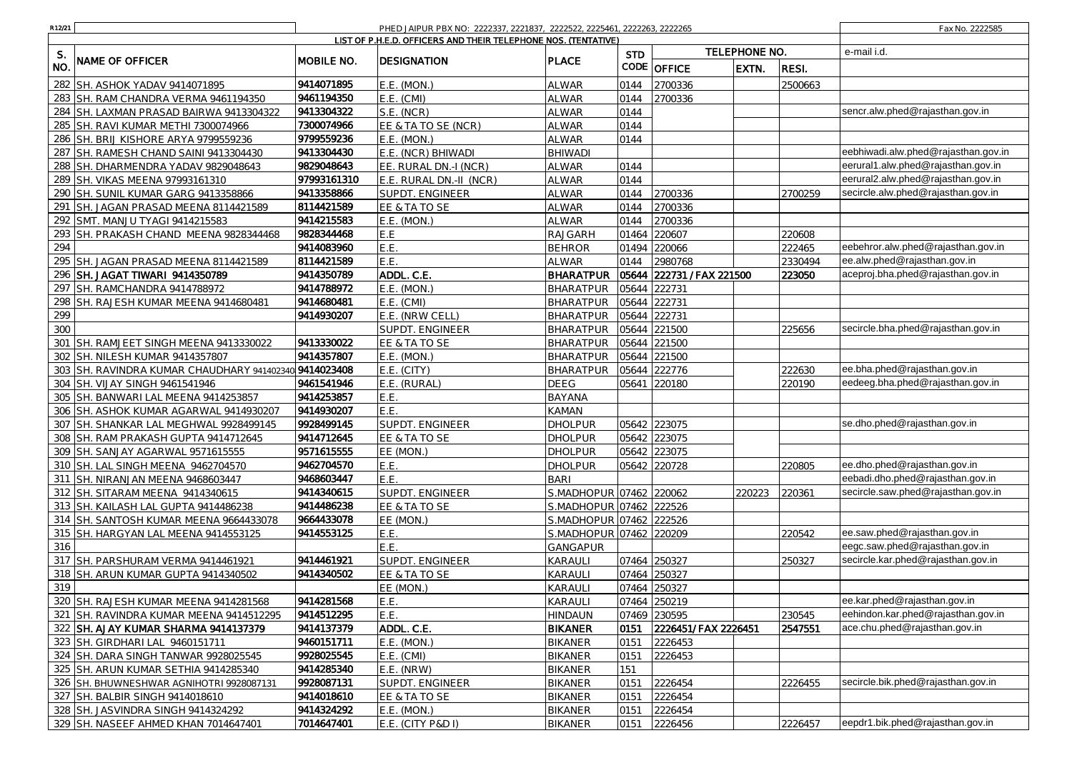| R12/21 |                                                                            |                          | PHED JAIPUR PBX NO: 2222337, 2221837, 2222522, 2225461, 2222263, 2222265 |                         |              |                      |               |         | Fax No. 2222585                     |
|--------|----------------------------------------------------------------------------|--------------------------|--------------------------------------------------------------------------|-------------------------|--------------|----------------------|---------------|---------|-------------------------------------|
|        |                                                                            |                          | LIST OF P.H.E.D. OFFICERS AND THEIR TELEPHONE NOS. (TENTATIVE)           |                         |              |                      |               |         |                                     |
| S.     |                                                                            |                          |                                                                          |                         | <b>STD</b>   |                      | TELEPHONE NO. |         | e-mail i.d.                         |
| NO.    | NAME OF OFFICER                                                            | MOBILE NO.               | DESIGNATION                                                              | PLACE                   |              | CODE OFFICE          | EXTN.         | RESI.   |                                     |
| 282    | SH. ASHOK YADAV 9414071895                                                 | 9414071895               | E.E. (MON.)                                                              | <b>ALWAR</b>            | 0144         | 2700336              |               | 2500663 |                                     |
| 283    | SH. RAM CHANDRA VERMA 9461194350                                           | 9461194350               | E.E. (CMI)                                                               | <b>ALWAR</b>            | 0144         | 2700336              |               |         |                                     |
| 284    | SH. LAXMAN PRASAD BAIRWA 9413304322                                        | 9413304322               | S.E. (NCR)                                                               | <b>ALWAR</b>            | 0144         |                      |               |         | sencr.alw.phed@rajasthan.gov.in     |
| 285    | SH. RAVI KUMAR METHI 7300074966                                            | 7300074966               | EE & TA TO SE (NCR)                                                      | <b>ALWAR</b>            | 0144         |                      |               |         |                                     |
| 286    | SH. BRIJ KISHORE ARYA 9799559236                                           | 9799559236               | E.E. (MON.)                                                              | ALWAR                   | 0144         |                      |               |         |                                     |
|        | 287 SH, RAMESH CHAND SAINI 9413304430                                      | 9413304430               | E.E. (NCR) BHIWADI                                                       | <b>BHIWADI</b>          |              |                      |               |         | eebhiwadi.alw.phed@rajasthan.gov.in |
| 288    | SH. DHARMENDRA YADAV 9829048643                                            | 9829048643               | EE. RURAL DN.-I (NCR)                                                    | <b>ALWAR</b>            | 0144         |                      |               |         | eerural1.alw.phed@rajasthan.gov.in  |
| 289    | SH. VIKAS MEENA 97993161310                                                | 97993161310              | E.E. RURAL DN.-II (NCR)                                                  | <b>ALWAR</b>            | 0144         |                      |               |         | eerural2.alw.phed@rajasthan.gov.in  |
| 290    | SH. SUNIL KUMAR GARG 9413358866                                            | 9413358866               | SUPDT. ENGINEER                                                          | <b>ALWAR</b>            | 0144         | 2700336              |               | 2700259 | secircle.alw.phed@rajasthan.gov.in  |
| 291    | SH. JAGAN PRASAD MEENA 8114421589                                          | 8114421589               | EE & TA TO SE                                                            | ALWAR                   | 0144         | 2700336              |               |         |                                     |
|        | 292 SMT. MANJU TYAGI 9414215583                                            | 9414215583               | E.E. (MON.)                                                              | <b>ALWAR</b>            | 0144         | 2700336              |               |         |                                     |
| 293    | SH. PRAKASH CHAND MEENA 9828344468                                         | 9828344468               | E.E                                                                      | <b>RAJGARH</b>          | 01464        | 220607               |               | 220608  |                                     |
| 294    |                                                                            | 9414083960               | E.E.                                                                     | <b>BEHROR</b>           | 01494        | 220066               |               | 222465  | eebehror.alw.phed@rajasthan.gov.in  |
| 295    | SH. JAGAN PRASAD MEENA 8114421589                                          | 8114421589               | E.E.                                                                     | ALWAR                   | 0144         | 2980768              |               | 2330494 | ee.alw.phed@rajasthan.gov.in        |
| 296    | SH. JAGAT TIWARI 9414350789                                                | 9414350789               | ADDL. C.E.                                                               | <b>BHARATPUR</b>        | 05644        | 222731 / FAX 221500  |               | 223050  | aceproj.bha.phed@rajasthan.gov.in   |
| 297    | SH. RAMCHANDRA 9414788972                                                  | 9414788972               | E.E. (MON.)                                                              | <b>BHARATPUR</b>        | 05644        | 222731               |               |         |                                     |
| 298    | SH. RAJESH KUMAR MEENA 9414680481                                          | 9414680481               | E.E. (CMI)                                                               | BHARATPUR               | 05644        | 222731               |               |         |                                     |
| 299    |                                                                            | 9414930207               | E.E. (NRW CELL)                                                          | BHARATPUR               | 05644        | 222731               |               |         |                                     |
| 300    |                                                                            |                          | SUPDT. ENGINEER                                                          | BHARATPUR               | 05644        | 221500               |               | 225656  | secircle.bha.phed@rajasthan.gov.in  |
|        | 301 SH. RAMJEET SINGH MEENA 9413330022                                     | 9413330022               | EE & TA TO SE                                                            | <b>BHARATPUR</b>        | 05644        | 221500               |               |         |                                     |
| 302    | SH. NILESH KUMAR 9414357807                                                | 9414357807               | E.E. (MON.)                                                              | <b>BHARATPUR</b>        | 05644        | 221500               |               |         |                                     |
| 303    | SH. RAVINDRA KUMAR CHAUDHARY 94140234                                      | 9414023408               | E.E. (CITY)                                                              | BHARATPUR               | 05644        | 222776               |               | 222630  | ee.bha.phed@rajasthan.gov.in        |
| 304    | SH. VIJAY SINGH 9461541946                                                 | 9461541946               | E.E. (RURAL)                                                             | DEEG                    | 05641        | 220180               |               | 220190  | eedeeg.bha.phed@rajasthan.gov.in    |
| 305    | SH. BANWARI LAL MEENA 9414253857                                           | 9414253857               | E.E.                                                                     | <b>BAYANA</b>           |              |                      |               |         |                                     |
|        | 306 SH. ASHOK KUMAR AGARWAL 9414930207                                     | 9414930207               | E.E.                                                                     | <b>KAMAN</b>            |              |                      |               |         |                                     |
| 307    | SH. SHANKAR LAL MEGHWAL 9928499145                                         | 9928499145               | SUPDT. ENGINEER                                                          | <b>DHOLPUR</b>          | 05642        | 223075               |               |         | se.dho.phed@rajasthan.gov.in        |
| 308    | SH. RAM PRAKASH GUPTA 9414712645                                           | 9414712645               | EE & TA TO SE                                                            | <b>DHOLPUR</b>          |              | 05642 223075         |               |         |                                     |
| 309    | SH. SANJAY AGARWAL 9571615555                                              | 9571615555               | EE (MON.)                                                                | DHOLPUR                 | 05642        | 223075               |               |         |                                     |
|        | 310 SH. LAL SINGH MEENA 9462704570                                         | 9462704570               | E.E.                                                                     | <b>DHOLPUR</b>          | 05642        | 220728               |               | 220805  | ee.dho.phed@rajasthan.gov.in        |
| 311    | SH. NIRANJAN MEENA 9468603447                                              | 9468603447               | F.F.                                                                     | <b>BARI</b>             |              |                      |               |         | eebadi.dho.phed@rajasthan.gov.in    |
| 312    | SH. SITARAM MEENA 9414340615                                               | 9414340615               | SUPDT. ENGINEER                                                          | S.MADHOPUR              | 07462        | 220062               | 220223        | 220361  | secircle.saw.phed@rajasthan.gov.in  |
| 313    | SH. KAILASH LAL GUPTA 9414486238                                           | 9414486238               | EE & TA TO SE                                                            | S.MADHOPUR 07462        |              | 222526               |               |         |                                     |
| 314    | SH. SANTOSH KUMAR MEENA 9664433078                                         | 9664433078               | EE (MON.)                                                                | S.MADHOPUR              | 07462        | 222526               |               |         |                                     |
|        | 315 SH. HARGYAN LAL MEENA 9414553125                                       | 9414553125               | E.E.                                                                     | S.MADHOPUR 07462 220209 |              |                      |               | 220542  | ee.saw.phed@rajasthan.gov.in        |
| 316    |                                                                            |                          | F F                                                                      | GANGAPUR                |              |                      |               |         | eegc.saw.phed@rajasthan.gov.in      |
|        | 317 SH. PARSHURAM VERMA 9414461921                                         | 9414461921               | SUPDT. ENGINEER                                                          | KARAULI                 |              | 07464 250327         |               | 250327  | secircle.kar.phed@rajasthan.gov.in  |
| 318    | SH. ARUN KUMAR GUPTA 9414340502                                            | 9414340502               | EE & TA TO SE                                                            | KARAULI                 |              | 07464 250327         |               |         |                                     |
| 319    |                                                                            |                          | EE (MON.)                                                                | KARAULI                 |              | 07464 250327         |               |         |                                     |
|        | 320 SH. RAJESH KUMAR MEENA 9414281568                                      | 9414281568               | E.E.                                                                     | KARAULI                 | 07464        | 250219               |               |         | ee.kar.phed@rajasthan.gov.in        |
|        | 321 SH. RAVINDRA KUMAR MEENA 9414512295                                    | 9414512295               | E.E.                                                                     | <b>HINDAUN</b>          | 07469        | 230595               |               | 230545  | eehindon.kar.phed@rajasthan.gov.in  |
|        | 322 SH. AJAY KUMAR SHARMA 9414137379                                       | 9414137379               | ADDL. C.E.                                                               | BIKANER                 | 0151         | 2226451/ FAX 2226451 |               | 2547551 | ace.chu.phed@rajasthan.gov.in       |
|        | 323 SH. GIRDHARI LAL 9460151711                                            | 9460151711               | E.E. (MON.)                                                              | <b>BIKANER</b>          | 0151         | 2226453              |               |         |                                     |
|        | 324 SH. DARA SINGH TANWAR 9928025545                                       | 9928025545               | E.E. (CMI)                                                               | <b>BIKANER</b>          | 0151         | 2226453              |               |         |                                     |
|        | 325 SH. ARUN KUMAR SETHIA 9414285340                                       | 9414285340               | E.E. (NRW)                                                               | <b>BIKANER</b>          | 151          |                      |               |         |                                     |
|        | 326 SH. BHUWNESHWAR AGNIHOTRI 9928087131                                   | 9928087131               | SUPDT. ENGINEER                                                          | BIKANER                 | 0151         | 2226454              |               | 2226455 | secircle.bik.phed@rajasthan.gov.in  |
|        | 327 SH. BALBIR SINGH 9414018610                                            | 9414018610               | EE & TA TO SE                                                            | <b>BIKANER</b>          | 0151         | 2226454              |               |         |                                     |
|        | 328 SH. JASVINDRA SINGH 9414324292<br>329 SH. NASEEF AHMED KHAN 7014647401 | 9414324292<br>7014647401 | E.E. (MON.)<br>E.E. (CITY P&D I)                                         | <b>BIKANER</b>          | 0151<br>0151 | 2226454<br>2226456   |               | 2226457 | eepdr1.bik.phed@rajasthan.gov.in    |
|        |                                                                            |                          |                                                                          | <b>BIKANER</b>          |              |                      |               |         |                                     |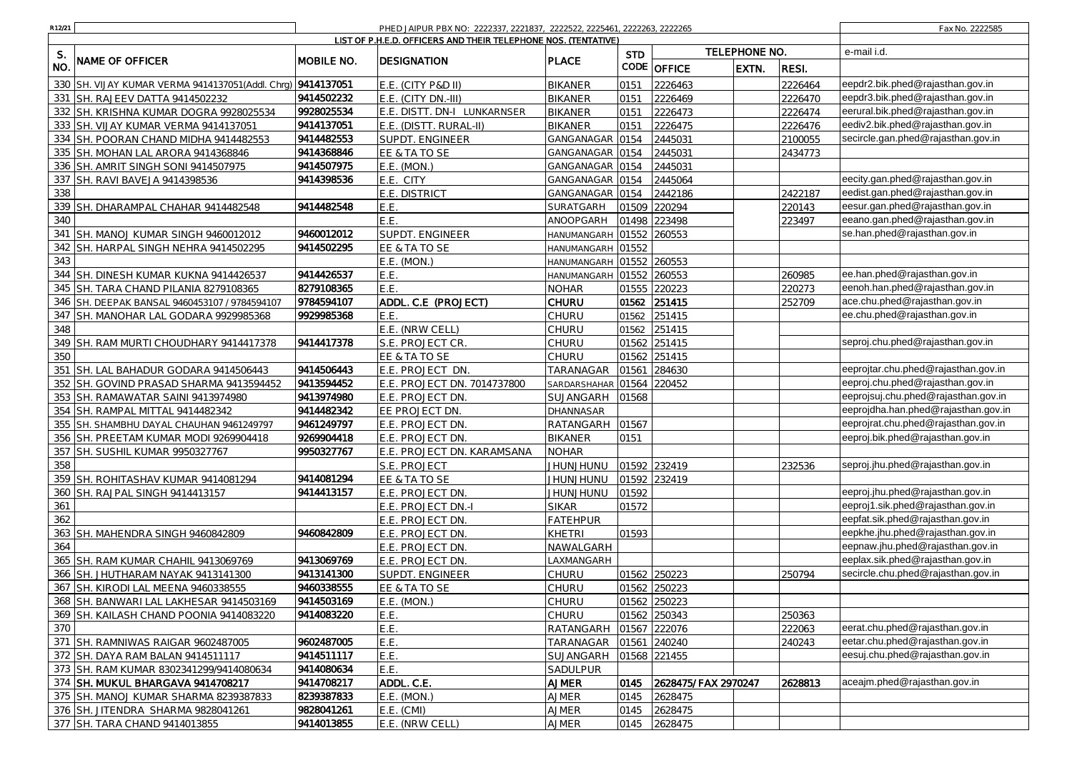| R12/21 |                                             |            | PHED JAIPUR PBX NO: 2222337, 2221837, 2222522, 2225461, 2222263, 2222265 |                  |            |                      |               |         | Fax No. 2222585                     |
|--------|---------------------------------------------|------------|--------------------------------------------------------------------------|------------------|------------|----------------------|---------------|---------|-------------------------------------|
|        |                                             |            | LIST OF P.H.E.D. OFFICERS AND THEIR TELEPHONE NOS. (TENTATIVE)           |                  |            |                      |               |         |                                     |
| S.     |                                             |            |                                                                          | PLACE            | <b>STD</b> |                      | TELEPHONE NO. |         | e-mail i.d.                         |
| NO.    | NAME OF OFFICER                             | MOBILE NO. | <b>DESIGNATION</b>                                                       |                  | CODE       | <b>OFFICE</b>        | EXTN.         | RESI.   |                                     |
| 330    | SH. VIJAY KUMAR VERMA 9414137051(Addl. Chrq | 9414137051 | E.E. (CITY P&D II)                                                       | <b>BIKANER</b>   | 0151       | 2226463              |               | 2226464 | eepdr2.bik.phed@rajasthan.gov.in    |
|        | 331 SH. RAJEEV DATTA 9414502232             | 9414502232 | E.E. (CITY DN.-III)                                                      | <b>BIKANER</b>   | 0151       | 2226469              |               | 2226470 | eepdr3.bik.phed@rajasthan.gov.in    |
| 332    | SH. KRISHNA KUMAR DOGRA 9928025534          | 9928025534 | E.E. DISTT. DN-I LUNKARNSER                                              | <b>BIKANER</b>   | 0151       | 2226473              |               | 2226474 | eerural.bik.phed@rajasthan.gov.in   |
| 333    | SH. VIJAY KUMAR VERMA 9414137051            | 9414137051 | E.E. (DISTT. RURAL-II)                                                   | <b>BIKANER</b>   | 0151       | 2226475              |               | 2226476 | eediv2.bik.phed@rajasthan.gov.in    |
| 334    | SH. POORAN CHAND MIDHA 9414482553           | 9414482553 | SUPDT. ENGINEER                                                          | GANGANAGAR       | 0154       | 2445031              |               | 2100055 | secircle.gan.phed@rajasthan.gov.in  |
| 335    | SH. MOHAN LAL ARORA 9414368846              | 9414368846 | EE & TA TO SE                                                            | GANGANAGAR 0154  |            | 2445031              |               | 2434773 |                                     |
|        | 336 SH. AMRIT SINGH SONI 9414507975         | 9414507975 | E.E. (MON.)                                                              | GANGANAGAR 0154  |            | 2445031              |               |         |                                     |
| 337    | SH. RAVI BAVEJA 9414398536                  | 9414398536 | E.E. CITY                                                                | GANGANAGAR       | 0154       | 2445064              |               |         | eecity.gan.phed@rajasthan.gov.in    |
| 338    |                                             |            | E.E. DISTRICT                                                            | GANGANAGAR       | 0154       | 2442186              |               | 2422187 | eedist.gan.phed@rajasthan.gov.in    |
| 339    | SH. DHARAMPAL CHAHAR 9414482548             | 9414482548 | E.E.                                                                     | SURATGARH        | 01509      | 220294               |               | 220143  | eesur.gan.phed@rajasthan.gov.in     |
| 340    |                                             |            | E.E.                                                                     | ANOOPGARH        | 01498      | 223498               |               | 223497  | eeano.gan.phed@rajasthan.gov.in     |
| 341    | SH. MANOJ KUMAR SINGH 9460012012            | 9460012012 | SUPDT. ENGINEER                                                          | HANUMANGARH      | 01552      | 260553               |               |         | se.han.phed@rajasthan.gov.in        |
| 342    | SH. HARPAL SINGH NEHRA 9414502295           | 9414502295 | EE & TA TO SE                                                            | HANUMANGARH      | 01552      |                      |               |         |                                     |
| 343    |                                             |            | E.E. (MON.)                                                              | HANUMANGARH      | 01552      | 260553               |               |         |                                     |
| 344    | SH. DINESH KUMAR KUKNA 9414426537           | 9414426537 | E.E.                                                                     | HANUMANGARH      | 01552      | 260553               |               | 260985  | ee.han.phed@rajasthan.gov.in        |
| 345    | SH. TARA CHAND PILANIA 8279108365           | 8279108365 | F.F.                                                                     | <b>NOHAR</b>     | 01555      | 220223               |               | 220273  | eenoh.han.phed@rajasthan.gov.in     |
| 346    | SH. DEEPAK BANSAL 9460453107 / 9784594107   | 9784594107 | ADDL. C.E (PROJECT)                                                      | CHURU            | 01562      | 251415               |               | 252709  | ace.chu.phed@rajasthan.gov.in       |
|        | 347 SH. MANOHAR LAL GODARA 9929985368       | 9929985368 | F.F.                                                                     | CHURU            | 01562      | 251415               |               |         | ee.chu.phed@rajasthan.gov.in        |
| 348    |                                             |            | E.E. (NRW CELL)                                                          | CHURU            | 01562      | 251415               |               |         |                                     |
| 349    | SH. RAM MURTI CHOUDHARY 9414417378          | 9414417378 | S.E. PROJECT CR.                                                         | CHURU            | 01562      | 251415               |               |         | seproj.chu.phed@rajasthan.gov.in    |
| 350    |                                             |            | EE & TA TO SE                                                            | CHURU            | 01562      | 251415               |               |         |                                     |
| 351    | SH. LAL BAHADUR GODARA 9414506443           | 9414506443 | E.E. PROJECT DN.                                                         | TARANAGAR        | 01561      | 284630               |               |         | eeprojtar.chu.phed@rajasthan.gov.in |
| 352    | SH. GOVIND PRASAD SHARMA 9413594452         | 9413594452 | E.E. PROJECT DN. 7014737800                                              | SARDARSHAHAR     | 01564      | 220452               |               |         | eeproj.chu.phed@rajasthan.gov.in    |
| 353    | SH. RAMAWATAR SAINI 9413974980              | 9413974980 | E.E. PROJECT DN.                                                         | SUJANGARH        | 01568      |                      |               |         | eeprojsuj.chu.phed@rajasthan.gov.in |
|        | 354 SH. RAMPAL MITTAL 9414482342            | 9414482342 | EE PROJECT DN.                                                           | DHANNASAR        |            |                      |               |         | eeprojdha.han.phed@rajasthan.gov.in |
| 355    | SH. SHAMBHU DAYAL CHAUHAN 9461249797        | 9461249797 | E.E. PROJECT DN.                                                         | <b>RATANGARH</b> | 01567      |                      |               |         | eeprojrat.chu.phed@rajasthan.gov.in |
| 356    | SH. PREETAM KUMAR MODI 9269904418           | 9269904418 | E.E. PROJECT DN.                                                         | <b>BIKANER</b>   | 0151       |                      |               |         | eeproj.bik.phed@rajasthan.gov.in    |
| 357    | SH. SUSHIL KUMAR 9950327767                 | 9950327767 | E.E. PROJECT DN. KARAMSANA                                               | <b>NOHAR</b>     |            |                      |               |         |                                     |
| 358    |                                             |            | S.E. PROJECT                                                             | UNUHLNUHL        | 01592      | 232419               |               | 232536  | seproj.jhu.phed@rajasthan.gov.in    |
| 359    | SH. ROHITASHAV KUMAR 9414081294             | 9414081294 | EE & TA TO SE                                                            | <b>UNUHL/UHL</b> | 01592      | 232419               |               |         |                                     |
| 360    | SH. RAJPAL SINGH 9414413157                 | 9414413157 | E.E. PROJECT DN.                                                         | UNUHUNU          | 01592      |                      |               |         | eeproj.jhu.phed@rajasthan.gov.in    |
| 361    |                                             |            | E.E. PROJECT DN.-I                                                       | <b>SIKAR</b>     | 01572      |                      |               |         | eeproj1.sik.phed@rajasthan.gov.in   |
| 362    |                                             |            | E.E. PROJECT DN                                                          | <b>FATEHPUR</b>  |            |                      |               |         | eepfat.sik.phed@rajasthan.gov.in    |
| 363    | SH. MAHENDRA SINGH 9460842809               | 9460842809 | E.E. PROJECT DN.                                                         | <b>KHETRI</b>    | 01593      |                      |               |         | eepkhe.jhu.phed@rajasthan.gov.in    |
| 364    |                                             |            | E.E. PROJECT DN.                                                         | NAWALGARH        |            |                      |               |         | eepnaw.jhu.phed@rajasthan.gov.in    |
| 365    | SH. RAM KUMAR CHAHIL 9413069769             | 9413069769 | E.E. PROJECT DN.                                                         | LAXMANGARH       |            |                      |               |         | eeplax.sik.phed@rajasthan.gov.in    |
| 366    | SH. JHUTHARAM NAYAK 9413141300              | 9413141300 | SUPDT. ENGINEER                                                          | CHURU            | 01562      | 250223               |               | 250794  | secircle.chu.phed@rajasthan.gov.in  |
|        | 367 SH. KIRODI LAL MEENA 9460338555         | 9460338555 | EE & TA TO SE                                                            | CHURU            | 01562      | 250223               |               |         |                                     |
|        | 368 SH. BANWARI LAL LAKHESAR 9414503169     | 9414503169 | E.E. (MON.)                                                              | CHURU            |            | 01562 250223         |               |         |                                     |
|        | 369 SH. KAILASH CHAND POONIA 9414083220     | 9414083220 | E.E.                                                                     | CHURU            |            | 01562 250343         |               | 250363  |                                     |
| 370    |                                             |            | E.E.                                                                     | RATANGARH        |            | 01567 222076         |               | 222063  | eerat.chu.phed@rajasthan.gov.in     |
|        | 371 SH. RAMNIWAS RAIGAR 9602487005          | 9602487005 | E.E.                                                                     | TARANAGAR        |            | 01561 240240         |               | 240243  | eetar.chu.phed@rajasthan.gov.in     |
|        | 372 SH. DAYA RAM BALAN 9414511117           | 9414511117 | E.E.                                                                     | SUJANGARH        |            | 01568 221455         |               |         | eesuj.chu.phed@rajasthan.gov.in     |
|        | 373 SH. RAM KUMAR 8302341299/9414080634     | 9414080634 | E.E.                                                                     | SADULPUR         |            |                      |               |         |                                     |
|        | 374 SH. MUKUL BHARGAVA 9414708217           | 9414708217 | ADDL. C.E.                                                               | AJMER            | 0145       | 2628475/ FAX 2970247 |               | 2628813 | aceajm.phed@rajasthan.gov.in        |
|        | 375 SH. MANOJ KUMAR SHARMA 8239387833       | 8239387833 | E.E. (MON.)                                                              | <b>AJMER</b>     | 0145       | 2628475              |               |         |                                     |
|        | 376 SH. JITENDRA SHARMA 9828041261          | 9828041261 | E.E. (CMI)                                                               | <b>AJMER</b>     | 0145       | 2628475              |               |         |                                     |
|        | 377 SH. TARA CHAND 9414013855               | 9414013855 | E.E. (NRW CELL)                                                          | <b>AJMER</b>     | 0145       | 2628475              |               |         |                                     |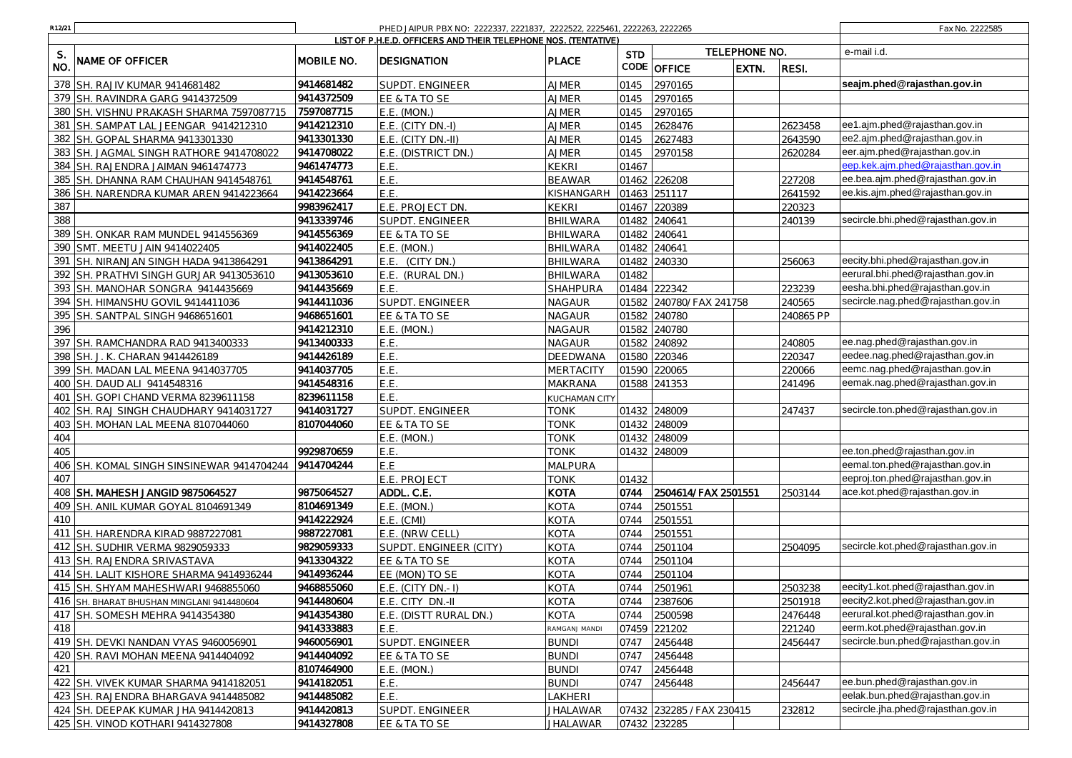| R12/21    |                                            |            | PHED JAIPUR PBX NO: 2222337, 2221837, 2222522, 2225461, 2222263, 2222265 |                  |            |                           |               |           | Fax No. 2222585                    |
|-----------|--------------------------------------------|------------|--------------------------------------------------------------------------|------------------|------------|---------------------------|---------------|-----------|------------------------------------|
|           |                                            |            | LIST OF P.H.E.D. OFFICERS AND THEIR TELEPHONE NOS. (TENTATIVE)           |                  |            |                           |               |           |                                    |
| S.        | <b>NAME OF OFFICER</b>                     | MOBILE NO. | <b>DESIGNATION</b>                                                       | <b>PLACE</b>     | <b>STD</b> |                           | TELEPHONE NO. |           | e-mail i.d.                        |
| <b>NO</b> |                                            |            |                                                                          |                  | CODE       | OFFICE                    | EXTN.         | RESI.     |                                    |
|           | 378 SH. RAJIV KUMAR 9414681482             | 9414681482 | SUPDT. ENGINEER                                                          | <b>AJMER</b>     | 0145       | 2970165                   |               |           | seajm.phed@rajasthan.gov.in        |
| 379       | SH. RAVINDRA GARG 9414372509               | 9414372509 | EE & TA TO SE                                                            | <b>AJMER</b>     | 0145       | 2970165                   |               |           |                                    |
| 380       | SH. VISHNU PRAKASH SHARMA 7597087715       | 7597087715 | E.E. (MON.)                                                              | <b>AJMER</b>     | 0145       | 2970165                   |               |           |                                    |
| 381       | SH. SAMPAT LAL JEENGAR 9414212310          | 9414212310 | E.E. (CITY DN.-I)                                                        | AJMER            | 0145       | 2628476                   |               | 2623458   | ee1.ajm.phed@rajasthan.gov.in      |
| 382       | SH. GOPAL SHARMA 9413301330                | 9413301330 | E.E. (CITY DN.-II)                                                       | AJMER            | 0145       | 2627483                   |               | 2643590   | ee2.ajm.phed@rajasthan.gov.in      |
| 383       | SH. JAGMAL SINGH RATHORE 9414708022        | 9414708022 | E.E. (DISTRICT DN.)                                                      | <b>AJMER</b>     | 0145       | 2970158                   |               | 2620284   | eer.ajm.phed@rajasthan.gov.in      |
| 384       | SH. RAJENDRA JAIMAN 9461474773             | 9461474773 | E.E.                                                                     | KEKRI            | 01467      |                           |               |           | eep.kek.ajm.phed@rajasthan.gov.in  |
| 385       | SH. DHANNA RAM CHAUHAN 9414548761          | 9414548761 | E.E.                                                                     | <b>BEAWAR</b>    | 01462      | 226208                    |               | 227208    | ee.bea.ajm.phed@rajasthan.gov.in   |
| 386       | SH. NARENDRA KUMAR AREN 9414223664         | 9414223664 | E.E.                                                                     | KISHANGARH       | 01463      | 251117                    |               | 2641592   | ee.kis.ajm.phed@rajasthan.gov.in   |
| 387       |                                            | 9983962417 | E.E. PROJECT DN.                                                         | KEKRI            | 01467      | 220389                    |               | 220323    |                                    |
| 388       |                                            | 9413339746 | SUPDT. ENGINEER                                                          | <b>BHILWARA</b>  | 01482      | 240641                    |               | 240139    | secircle.bhi.phed@rajasthan.gov.in |
| 389       | SH. ONKAR RAM MUNDEL 9414556369            | 9414556369 | EE & TA TO SE                                                            | <b>BHILWARA</b>  | 01482      | 240641                    |               |           |                                    |
| 390       | SMT. MEETU JAIN 9414022405                 | 9414022405 | E.E. (MON.)                                                              | BHILWARA         | 01482      | 240641                    |               |           |                                    |
| 391       | SH. NIRANJAN SINGH HADA 9413864291         | 9413864291 | (CITY DN.)<br>E.E.                                                       | <b>BHILWARA</b>  | 01482      | 240330                    |               | 256063    | eecity.bhi.phed@rajasthan.gov.in   |
| 392       | SH. PRATHVI SINGH GURJAR 9413053610        | 9413053610 | E.E. (RURAL DN.)                                                         | <b>BHILWARA</b>  | 01482      |                           |               |           | eerural.bhi.phed@rajasthan.gov.in  |
| 393       | SH. MANOHAR SONGRA 9414435669              | 9414435669 | F.F.                                                                     | SHAHPURA         | 01484      | 222342                    |               | 223239    | eesha.bhi.phed@rajasthan.gov.in    |
| 394       | SH. HIMANSHU GOVIL 9414411036              | 9414411036 | SUPDT. ENGINEER                                                          | NAGAUR           | 01582      | 240780/ FAX 241758        |               | 240565    | secircle.nag.phed@rajasthan.gov.in |
| 395       | SH. SANTPAL SINGH 9468651601               | 9468651601 | EE & TA TO SE                                                            | NAGAUR           | 01582      | 240780                    |               | 240865 PP |                                    |
| 396       |                                            | 9414212310 | E.E. (MON.)                                                              | NAGAUR           | 01582      | 240780                    |               |           |                                    |
| 397       | SH. RAMCHANDRA RAD 9413400333              | 9413400333 | E.E.                                                                     | NAGAUR           | 01582      | 240892                    |               | 240805    | ee.nag.phed@rajasthan.gov.in       |
| 398       | SH. J. K. CHARAN 9414426189                | 9414426189 | E.E.                                                                     | DEEDWANA         | 01580      | 220346                    |               | 220347    | eedee.nag.phed@rajasthan.gov.in    |
| 399       | SH. MADAN LAL MEENA 9414037705             | 9414037705 | E.E.                                                                     | <b>MERTACITY</b> | 01590      | 220065                    |               | 220066    | eemc.nag.phed@rajasthan.gov.in     |
| 400       | SH. DAUD ALI 9414548316                    | 9414548316 | E.E.                                                                     | <b>MAKRANA</b>   | 01588      | 241353                    |               | 241496    | eemak.nag.phed@rajasthan.gov.in    |
| 401 I     | SH. GOPI CHAND VERMA 8239611158            | 8239611158 | E.E.                                                                     | KUCHAMAN CITY    |            |                           |               |           |                                    |
| 402       | SH. RAJ SINGH CHAUDHARY 9414031727         | 9414031727 | SUPDT. ENGINEER                                                          | <b>TONK</b>      | 01432      | 248009                    |               | 247437    | secircle.ton.phed@rajasthan.gov.in |
| 403       | SH. MOHAN LAL MEENA 8107044060             | 8107044060 | EE & TA TO SE                                                            | <b>TONK</b>      |            | 01432 248009              |               |           |                                    |
| 404       |                                            |            | E.E. (MON.)                                                              | <b>TONK</b>      | 01432      | 248009                    |               |           |                                    |
| 405       |                                            | 9929870659 | E.E.                                                                     | <b>TONK</b>      | 01432      | 248009                    |               |           | ee.ton.phed@rajasthan.gov.in       |
| 406       | SH. KOMAL SINGH SINSINEWAR 9414704244      | 9414704244 | E.E                                                                      | MALPURA          |            |                           |               |           | eemal.ton.phed@rajasthan.gov.in    |
| 407       |                                            |            | E.E. PROJECT                                                             | <b>TONK</b>      | 01432      |                           |               |           | eeproj.ton.phed@rajasthan.gov.in   |
|           | 408 SH. MAHESH JANGID 9875064527           | 9875064527 | ADDL. C.E.                                                               | KOTA             | 0744       | 2504614/ FAX 2501551      |               | 2503144   | ace.kot.phed@rajasthan.gov.in      |
| 409       | SH. ANIL KUMAR GOYAL 8104691349            | 8104691349 | E.E. (MON.)                                                              | <b>KOTA</b>      | 0744       | 2501551                   |               |           |                                    |
| 410       |                                            | 9414222924 | $E.E.$ (CMI)                                                             | KOTA             | 0744       | 2501551                   |               |           |                                    |
| 411       | SH. HARENDRA KIRAD 9887227081              | 9887227081 | E.E. (NRW CELL)                                                          | KOTA             | 0744       | 2501551                   |               |           |                                    |
| 412       | SH. SUDHIR VERMA 9829059333                | 9829059333 | SUPDT. ENGINEER (CITY)                                                   | <b>KOTA</b>      | 0744       | 2501104                   |               | 2504095   | secircle.kot.phed@rajasthan.gov.in |
| 413       | SH. RAJENDRA SRIVASTAVA                    | 9413304322 | EE & TA TO SE                                                            | <b>KOTA</b>      | 0744       | 2501104                   |               |           |                                    |
| 414       | SH. LALIT KISHORE SHARMA 9414936244        | 9414936244 | EE (MON) TO SE                                                           | <b>KOTA</b>      | 0744       | 2501104                   |               |           |                                    |
|           | 415 SH. SHYAM MAHESHWARI 9468855060        | 9468855060 | E.E. (CITY DN.-1)                                                        | KOTA             | 0744       | 2501961                   |               | 2503238   | eecity1.kot.phed@rajasthan.gov.in  |
|           | 416 SH. BHARAT BHUSHAN MINGLANI 9414480604 | 9414480604 | E.E. CITY DN.-II                                                         | <b>KOTA</b>      | 0744       | 2387606                   |               | 2501918   | eecity2.kot.phed@rajasthan.gov.in  |
|           | 417 SH. SOMESH MEHRA 9414354380            | 9414354380 | E.E. (DISTT RURAL DN.)                                                   | KOTA             | 0744       | 2500598                   |               | 2476448   | eerural.kot.phed@rajasthan.gov.in  |
| 418       |                                            | 9414333883 | E.E.                                                                     | AMGANJ MANDI     | 07459      | 221202                    |               | 221240    | eerm.kot.phed@rajasthan.gov.in     |
|           | 419 SH. DEVKI NANDAN VYAS 9460056901       | 9460056901 | SUPDT. ENGINEER                                                          | <b>BUNDI</b>     | 0747       | 2456448                   |               | 2456447   | secircle.bun.phed@rajasthan.gov.in |
|           | 420 SH. RAVI MOHAN MEENA 9414404092        | 9414404092 | EE & TA TO SE                                                            | <b>BUNDI</b>     | 0747       | 2456448                   |               |           |                                    |
| 421       |                                            | 8107464900 | E.E. (MON.)                                                              | <b>BUNDI</b>     | 0747       | 2456448                   |               |           |                                    |
|           | 422 SH. VIVEK KUMAR SHARMA 9414182051      | 9414182051 | E.E.                                                                     | <b>BUNDI</b>     | 0747       | 2456448                   |               | 2456447   | ee.bun.phed@rajasthan.gov.in       |
|           | 423 SH. RAJENDRA BHARGAVA 9414485082       | 9414485082 | E.E.                                                                     | AKHERI           |            |                           |               |           | eelak.bun.phed@rajasthan.gov.in    |
|           | 424 SH. DEEPAK KUMAR JHA 9414420813        | 9414420813 | SUPDT. ENGINEER                                                          | <b>JHALAWAR</b>  |            | 07432 232285 / FAX 230415 |               | 232812    | secircle.jha.phed@rajasthan.gov.in |
|           | 425 SH. VINOD KOTHARI 9414327808           | 9414327808 | EE & TA TO SE                                                            | <b>JHALAWAR</b>  |            | 07432 232285              |               |           |                                    |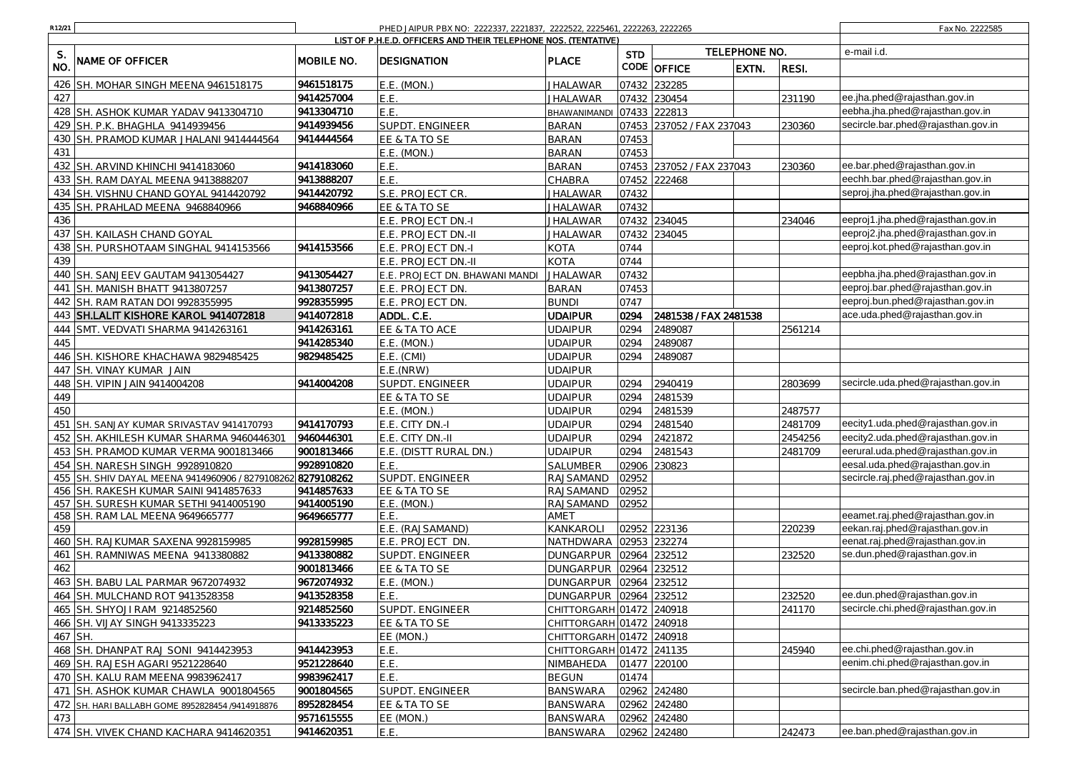| R12/21  |                                                                |            | PHED JAIPUR PBX NO: 2222337, 2221837, 2222522, 2225461, 2222263, 2222265 |                          |            |                       |               |         | Fax No. 2222585                    |
|---------|----------------------------------------------------------------|------------|--------------------------------------------------------------------------|--------------------------|------------|-----------------------|---------------|---------|------------------------------------|
|         | LIST OF P.H.E.D. OFFICERS AND THEIR TELEPHONE NOS. (TENTATIVE) |            |                                                                          |                          |            |                       |               |         |                                    |
| S.      | NAME OF OFFICER                                                | MOBILE NO. | DESIGNATION                                                              | <b>PLACE</b>             | <b>STD</b> |                       | TELEPHONE NO. |         | e-mail i.d.                        |
| NO.     |                                                                |            |                                                                          |                          |            | CODE OFFICE           | EXTN.         | RESI.   |                                    |
| 426     | SH. MOHAR SINGH MEENA 9461518175                               | 9461518175 | E.E. (MON.)                                                              | <b>JHALAWAR</b>          | 07432      | 232285                |               |         |                                    |
| 427     |                                                                | 9414257004 | E.E.                                                                     | <b>JHALAWAR</b>          | 07432      | 230454                |               | 231190  | ee.jha.phed@rajasthan.gov.in       |
|         | 428 SH. ASHOK KUMAR YADAV 9413304710                           | 9413304710 | E.E.                                                                     | BHAWANIMANDI             | 07433      | 222813                |               |         | eebha.jha.phed@rajasthan.gov.in    |
| 429     | SH. P.K. BHAGHLA 9414939456                                    | 9414939456 | SUPDT. ENGINEER                                                          | <b>BARAN</b>             | 07453      | 237052 / FAX 237043   |               | 230360  | secircle.bar.phed@rajasthan.gov.in |
| 430     | SH. PRAMOD KUMAR JHALANI 9414444564                            | 9414444564 | EE & TA TO SE                                                            | <b>BARAN</b>             | 07453      |                       |               |         |                                    |
| 431     |                                                                |            | E.E. (MON.)                                                              | <b>BARAN</b>             | 07453      |                       |               |         |                                    |
| 432     | SH. ARVIND KHINCHI 9414183060                                  | 9414183060 | E.E.                                                                     | <b>BARAN</b>             | 07453      | 237052 / FAX 237043   |               | 230360  | ee.bar.phed@rajasthan.gov.in       |
| 433     | SH. RAM DAYAL MEENA 9413888207                                 | 9413888207 | E.E.                                                                     | CHABRA                   | 07452      | 222468                |               |         | eechh.bar.phed@rajasthan.gov.in    |
| 434     | SH. VISHNU CHAND GOYAL 9414420792                              | 9414420792 | S.E. PROJECT CR.                                                         | <b>JHALAWAR</b>          | 07432      |                       |               |         | seproj.jha.phed@rajasthan.gov.in   |
| 435     | SH. PRAHLAD MEENA 9468840966                                   | 9468840966 | EE & TA TO SE                                                            | <b>JHALAWAR</b>          | 07432      |                       |               |         |                                    |
| 436     |                                                                |            | E.E. PROJECT DN.-I                                                       | <b>JHALAWAR</b>          |            | 07432 234045          |               | 234046  | eeproj1.jha.phed@rajasthan.gov.in  |
|         | 437 SH. KAILASH CHAND GOYAL                                    |            | E.E. PROJECT DN.-II                                                      | <b>JHALAWAR</b>          | 07432      | 234045                |               |         | eeproj2.jha.phed@rajasthan.gov.in  |
| 438     | SH. PURSHOTAAM SINGHAL 9414153566                              | 9414153566 | E.E. PROJECT DN.-I                                                       | KOTA                     | 0744       |                       |               |         | eeproj.kot.phed@rajasthan.gov.in   |
| 439     |                                                                |            | E.E. PROJECT DN.-II                                                      | KOTA                     | 0744       |                       |               |         |                                    |
|         | 440 SH. SANJEEV GAUTAM 9413054427                              | 9413054427 | E.E. PROJECT DN. BHAWANI MANDI                                           | <b>JHALAWAR</b>          | 07432      |                       |               |         | eepbha.jha.phed@rajasthan.gov.in   |
| 441     | SH. MANISH BHATT 9413807257                                    | 9413807257 | E.E. PROJECT DN                                                          | <b>BARAN</b>             | 07453      |                       |               |         | eeproj.bar.phed@rajasthan.gov.in   |
| 442     | SH. RAM RATAN DOI 9928355995                                   | 9928355995 | E.E. PROJECT DN.                                                         | <b>BUNDI</b>             | 0747       |                       |               |         | eeproj.bun.phed@rajasthan.gov.in   |
|         | 443 SH.LALIT KISHORE KAROL 9414072818                          | 9414072818 | ADDL. C.E.                                                               | <b>UDAIPUR</b>           | 0294       | 2481538 / FAX 2481538 |               |         | ace.uda.phed@rajasthan.gov.in      |
|         | 444 SMT. VEDVATI SHARMA 9414263161                             | 9414263161 | EE & TA TO ACE                                                           | <b>UDAIPUR</b>           | 0294       | 2489087               |               | 2561214 |                                    |
| 445     |                                                                | 9414285340 | E.E. (MON.)                                                              | <b>UDAIPUR</b>           | 0294       | 2489087               |               |         |                                    |
| 446     | SH. KISHORE KHACHAWA 9829485425                                | 9829485425 | E.E. (CMI)                                                               | <b>UDAIPUR</b>           | 0294       | 2489087               |               |         |                                    |
| 447     | SH. VINAY KUMAR JAIN                                           |            | E.E.(NRW)                                                                | <b>UDAIPUR</b>           |            |                       |               |         |                                    |
| 448     | SH. VIPIN JAIN 9414004208                                      | 9414004208 | SUPDT. ENGINEER                                                          | <b>JDAIPUR</b>           | 0294       | 2940419               |               | 2803699 | secircle.uda.phed@rajasthan.gov.in |
| 449     |                                                                |            | EE & TA TO SE                                                            | <b>UDAIPUR</b>           | 0294       | 2481539               |               |         |                                    |
| 450     |                                                                |            | E.E. (MON.)                                                              | <b>UDAIPUR</b>           | 0294       | 2481539               |               | 2487577 |                                    |
| 451     | SH. SANJAY KUMAR SRIVASTAV 9414170793                          | 9414170793 | E.E. CITY DN.-I                                                          | <b>UDAIPUR</b>           | 0294       | 2481540               |               | 2481709 | eecity1.uda.phed@rajasthan.gov.in  |
| 452     | SH. AKHILESH KUMAR SHARMA 9460446301                           | 9460446301 | E.E. CITY DN.-II                                                         | <b>UDAIPUR</b>           | 0294       | 2421872               |               | 2454256 | eecity2.uda.phed@rajasthan.gov.in  |
| 453     | SH. PRAMOD KUMAR VERMA 9001813466                              | 9001813466 | E.E. (DISTT RURAL DN.)                                                   | <b>UDAIPUR</b>           | 0294       | 2481543               |               | 2481709 | eerural.uda.phed@rajasthan.gov.in  |
|         | 454 SH. NARESH SINGH 9928910820                                | 9928910820 | E.E.                                                                     | SALUMBER                 | 02906      | 230823                |               |         | eesal.uda.phed@rajasthan.gov.in    |
| 455     | SH. SHIV DAYAL MEENA 9414960906 / 827910826                    | 8279108262 | SUPDT. ENGINEER                                                          | <b>RAJSAMAND</b>         | 02952      |                       |               |         | secircle.raj.phed@rajasthan.gov.in |
| 456     | RAKESH KUMAR SAINI 9414857633<br>SH.                           | 9414857633 | EE & TA TO SE                                                            | RAJSAMAND                | 02952      |                       |               |         |                                    |
|         | 457 SH. SURESH KUMAR SETHI 9414005190                          | 9414005190 | E.E. (MON.)                                                              | RAJSAMAND                | 02952      |                       |               |         |                                    |
| 458     | SH. RAM LAL MEENA 9649665777                                   | 9649665777 | E.E.                                                                     | AMET                     |            |                       |               |         | eeamet.raj.phed@rajasthan.gov.in   |
| 459     |                                                                |            | E.E. (RAJSAMAND)                                                         | KANKAROLI                | 02952      | 223136                |               | 220239  | eekan.raj.phed@rajasthan.gov.in    |
|         | 460 SH. RAJKUMAR SAXENA 9928159985                             | 9928159985 | E.E. PROJECT DN                                                          | NATHDWARA                | 02953      | 232274                |               |         | eenat.raj.phed@rajasthan.gov.in    |
| 461     | SH. RAMNIWAS MEENA 9413380882                                  | 9413380882 | SUPDT. ENGINEER                                                          | <b>DUNGARPUR</b>         | 02964      | 232512                |               | 232520  | se.dun.phed@rajasthan.gov.in       |
| 462     |                                                                | 9001813466 | EE & TA TO SE                                                            | <b>DUNGARPUR</b>         | 02964      | 232512                |               |         |                                    |
|         | 463 SH. BABU LAL PARMAR 9672074932                             | 9672074932 | E.E. (MON.)                                                              | DUNGARPUR 02964 232512   |            |                       |               |         |                                    |
|         | 464 SH. MULCHAND ROT 9413528358                                | 9413528358 | E.E.                                                                     | DUNGARPUR 02964 232512   |            |                       |               | 232520  | ee.dun.phed@rajasthan.gov.in       |
|         | 465 SH. SHYOJI RAM 9214852560                                  | 9214852560 | SUPDT. ENGINEER                                                          | CHITTORGARH 01472 240918 |            |                       |               | 241170  | secircle.chi.phed@rajasthan.gov.in |
|         | 466 SH. VIJAY SINGH 9413335223                                 | 9413335223 | EE & TA TO SE                                                            | CHITTORGARH 01472 240918 |            |                       |               |         |                                    |
| 467 SH. |                                                                |            | EE (MON.)                                                                | CHITTORGARH 01472 240918 |            |                       |               |         |                                    |
|         | 468 SH. DHANPAT RAJ SONI 9414423953                            | 9414423953 | E.E.                                                                     | CHITTORGARH 01472 241135 |            |                       |               | 245940  | ee.chi.phed@rajasthan.gov.in       |
|         | 469 SH. RAJESH AGARI 9521228640                                | 9521228640 | E.E.                                                                     | NIMBAHEDA                |            | 01477 220100          |               |         | eenim.chi.phed@rajasthan.gov.in    |
|         | 470 SH. KALU RAM MEENA 9983962417                              | 9983962417 | E.E.                                                                     | <b>BEGUN</b>             | 01474      |                       |               |         |                                    |
|         | 471 SH. ASHOK KUMAR CHAWLA 9001804565                          | 9001804565 | SUPDT. ENGINEER                                                          | <b>BANSWARA</b>          |            | 02962 242480          |               |         | secircle.ban.phed@rajasthan.gov.in |
| 472     | SH. HARI BALLABH GOME 8952828454 /9414918876                   | 8952828454 | EE & TA TO SE                                                            | <b>BANSWARA</b>          |            | 02962 242480          |               |         |                                    |
| 473     |                                                                | 9571615555 | EE (MON.)                                                                | <b>BANSWARA</b>          |            | 02962 242480          |               |         |                                    |
|         | 474 SH. VIVEK CHAND KACHARA 9414620351                         | 9414620351 | E.E.                                                                     | <b>BANSWARA</b>          |            | 02962 242480          |               | 242473  | ee.ban.phed@rajasthan.gov.in       |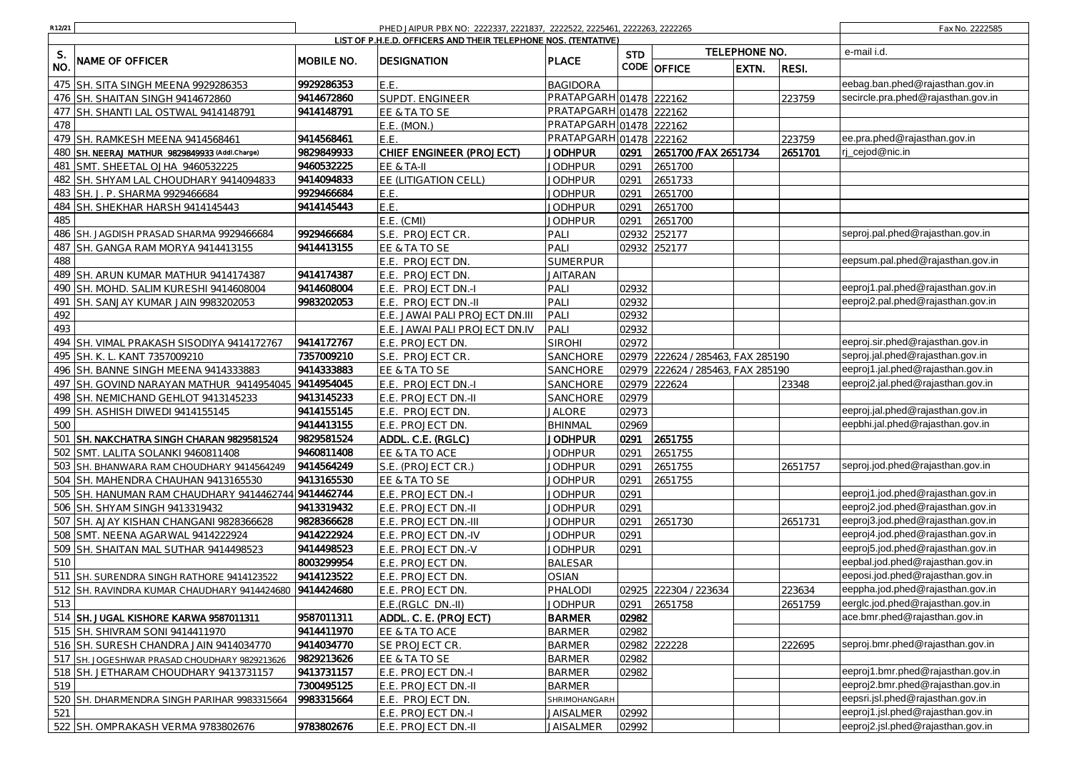| R12/21 |                                             |                          | PHED JAIPUR PBX NO: 2222337, 2221837, 2222522, 2225461, 2222263, 2222265 |                                  |              |                             |               |         | Fax No. 2222585                                                   |
|--------|---------------------------------------------|--------------------------|--------------------------------------------------------------------------|----------------------------------|--------------|-----------------------------|---------------|---------|-------------------------------------------------------------------|
|        |                                             |                          | LIST OF P.H.E.D. OFFICERS AND THEIR TELEPHONE NOS. (TENTATIVE)           |                                  |              |                             |               |         |                                                                   |
| S.     | NAME OF OFFICER                             | MOBILE NO.               | DESIGNATION                                                              | PLACE                            | <b>STD</b>   |                             | TELEPHONE NO. |         | e-mail i.d.                                                       |
| NO.    |                                             |                          |                                                                          |                                  |              | CODE OFFICE                 | EXTN.         | RESI.   |                                                                   |
| 475    | SH. SITA SINGH MEENA 9929286353             | 9929286353               | F.F.                                                                     | <b>BAGIDORA</b>                  |              |                             |               |         | eebag.ban.phed@rajasthan.gov.in                                   |
| 476    | SH. SHAITAN SINGH 9414672860                | 9414672860               | SUPDT. ENGINEER                                                          | PRATAPGARH 01478 222162          |              |                             |               | 223759  | secircle.pra.phed@rajasthan.gov.in                                |
| 477    | SH. SHANTI LAL OSTWAL 9414148791            | 9414148791               | EE & TA TO SE                                                            | PRATAPGARH 01478                 |              | 222162                      |               |         |                                                                   |
| 478    |                                             |                          | E.E. (MON.)                                                              | PRATAPGARH 01478                 |              | 222162                      |               |         |                                                                   |
| 479    | SH. RAMKESH MEENA 9414568461                | 9414568461               | E.E.                                                                     | PRATAPGARH 01478                 |              | 222162                      |               | 223759  | ee.pra.phed@rajasthan.gov.in                                      |
| 480    | SH. NEERAJ MATHUR 9829849933 (Addl.Charge)  | 9829849933               | CHIEF ENGINEER (PROJECT)                                                 | <b>JODHPUR</b>                   | 0291         | 2651700 / FAX 2651734       |               | 2651701 | rj_cejod@nic.in                                                   |
|        | 481 SMT. SHEETAL OJHA 9460532225            | 9460532225               | EE & TA-II                                                               | <b>JODHPUR</b>                   | 0291         | 2651700                     |               |         |                                                                   |
| 482    | SH. SHYAM LAL CHOUDHARY 9414094833          | 9414094833               | EE (LITIGATION CELL)                                                     | <b>JODHPUR</b>                   | 0291         | 2651733                     |               |         |                                                                   |
| 483    | SH. J. P. SHARMA 9929466684                 | 9929466684               | E.E.                                                                     | <b>JODHPUR</b>                   | 0291         | 2651700                     |               |         |                                                                   |
| 484    | SH. SHEKHAR HARSH 9414145443                | 9414145443               | F.F.                                                                     | <b>JODHPUR</b>                   | 0291         | 2651700                     |               |         |                                                                   |
| 485    |                                             |                          | E.E. (CMI)                                                               | <b>JODHPUR</b>                   | 0291         | 2651700                     |               |         |                                                                   |
| 486    | SH. JAGDISH PRASAD SHARMA 9929466684        | 9929466684               | PROJECT CR.<br>S.E.                                                      | PALI                             | 02932        | 252177                      |               |         | seproj.pal.phed@rajasthan.gov.in                                  |
| 487    | SH. GANGA RAM MORYA 9414413155              | 9414413155               | EE & TA TO SE                                                            | PALI                             | 02932        | 252177                      |               |         |                                                                   |
| 488    |                                             |                          | E.E. PROJECT DN                                                          | <b>SUMERPUR</b>                  |              |                             |               |         | eepsum.pal.phed@rajasthan.gov.in                                  |
| 489    | SH. ARUN KUMAR MATHUR 9414174387            | 9414174387               | PROJECT DN.<br>F F.                                                      | <b>JAITARAN</b>                  |              |                             |               |         |                                                                   |
| 490    | SH. MOHD. SALIM KURESHI 9414608004          | 9414608004               | PROJECT DN.-I<br>F.F.                                                    | PALI                             | 02932        |                             |               |         | eeproj1.pal.phed@rajasthan.gov.in                                 |
| 491    | SH. SANJAY KUMAR JAIN 9983202053            | 9983202053               | FF.<br>PROJECT DN.-II                                                    | PALI                             | 02932        |                             |               |         | eeproj2.pal.phed@rajasthan.gov.in                                 |
| 492    |                                             |                          | E.E. JAWAI PALI PROJECT DN.III                                           | PALI                             | 02932        |                             |               |         |                                                                   |
| 493    |                                             |                          | E.E. JAWAI PALI PROJECT DN.IV                                            | PALI                             | 02932        |                             |               |         |                                                                   |
| 494    | SH. VIMAL PRAKASH SISODIYA 9414172767       | 9414172767               | E.E. PROJECT DN.                                                         | <b>SIROHI</b>                    | 02972        |                             |               |         | eeproj.sir.phed@rajasthan.gov.in                                  |
| 495    | SH. K. L. KANT 7357009210                   | 7357009210               | S.E. PROJECT CR.                                                         | SANCHORE                         | 02979        | 222624 / 285463, FAX 285190 |               |         | seproj.jal.phed@rajasthan.gov.in                                  |
| 496    | SH. BANNE SINGH MEENA 9414333883            | 9414333883               | EE & TA TO SE                                                            | SANCHORE                         | 02979        | 222624 / 285463, FAX 285190 |               |         | eeproj1.jal.phed@rajasthan.gov.in                                 |
| 497    | SH. GOVIND NARAYAN MATHUR 9414954045        | 9414954045               | E.E. PROJECT DN.-I                                                       | SANCHORE                         | 02979        | 222624                      |               | 23348   | eeproj2.jal.phed@rajasthan.gov.in                                 |
| 498    | SH. NEMICHAND GEHLOT 9413145233             | 9413145233               | E.E. PROJECT DN.-II                                                      | SANCHORE                         | 02979        |                             |               |         |                                                                   |
| 499    | SH. ASHISH DIWEDI 9414155145                | 9414155145               | E.E. PROJECT DN.                                                         | <b>JALORE</b>                    | 02973        |                             |               |         | eeproj.jal.phed@rajasthan.gov.in                                  |
| 500    |                                             | 9414413155               | E.E. PROJECT DN.                                                         | <b>BHINMAL</b>                   | 02969        |                             |               |         | eepbhi.jal.phed@rajasthan.gov.in                                  |
| 501    | SH. NAKCHATRA SINGH CHARAN 9829581524       | 9829581524               | ADDL. C.E. (RGLC)                                                        | <b>JODHPUR</b>                   | 0291         | 2651755                     |               |         |                                                                   |
| 502    | SMT. LALITA SOLANKI 9460811408              | 9460811408               | EE & TA TO ACE                                                           | <b>JODHPUR</b>                   | 0291         | 2651755                     |               |         |                                                                   |
| 503    | SH. BHANWARA RAM CHOUDHARY 9414564249       | 9414564249               | S.E. (PROJECT CR.)                                                       | <b>JODHPUR</b>                   | 0291         | 2651755                     |               | 2651757 | seproj.jod.phed@rajasthan.gov.in                                  |
| 504    | SH. MAHENDRA CHAUHAN 9413165530             | 9413165530               | EE & TA TO SE                                                            | <b>JODHPUR</b>                   | 0291         | 2651755                     |               |         |                                                                   |
| 505    | SH. HANUMAN RAM CHAUDHARY 941446274         | 9414462744               | E.E. PROJECT DN.-I                                                       | <b>JODHPUR</b>                   | 0291         |                             |               |         | eeproj1.jod.phed@rajasthan.gov.in                                 |
| 506    |                                             | 9413319432               |                                                                          |                                  | 0291         |                             |               |         | eeproj2.jod.phed@rajasthan.gov.in                                 |
| 507    | SH. SHYAM SINGH 9413319432                  |                          | E.E. PROJECT DN.-II<br>E.E. PROJECT DN.-III                              | <b>JODHPUR</b>                   |              |                             |               |         | eeproj3.jod.phed@rajasthan.gov.in                                 |
| 508    | SH. AJAY KISHAN CHANGANI 9828366628         | 9828366628<br>9414222924 |                                                                          | <b>JODHPUR</b>                   | 0291<br>0291 | 2651730                     |               | 2651731 | eeproj4.jod.phed@rajasthan.gov.in                                 |
| 509    | SMT. NEENA AGARWAL 9414222924               | 9414498523               | E.E. PROJECT DN.-IV<br>E.E. PROJECT DN.-V                                | <b>JODHPUR</b><br><b>JODHPUR</b> | 0291         |                             |               |         | eeproj5.jod.phed@rajasthan.gov.in                                 |
| 510    | SH. SHAITAN MAL SUTHAR 9414498523           | 8003299954               |                                                                          |                                  |              |                             |               |         | eepbal.jod.phed@rajasthan.gov.in                                  |
| 511    |                                             |                          | E.E. PROJECT DN.                                                         | <b>BALESAR</b>                   |              |                             |               |         | eeposi.jod.phed@rajasthan.gov.in                                  |
|        | SH. SURENDRA SINGH RATHORE 9414123522       | 9414123522               | E.E. PROJECT DN.                                                         | <b>OSIAN</b>                     |              |                             |               |         | eeppha.jod.phed@rajasthan.gov.in                                  |
|        | 512 SH. RAVINDRA KUMAR CHAUDHARY 9414424680 | 9414424680               | E.E. PROJECT DN.                                                         | PHALODI                          |              | 02925 222304 / 223634       |               | 223634  |                                                                   |
| 513    |                                             |                          | E.E.(RGLC DN.-II)                                                        | <b>JODHPUR</b>                   | 0291         | 2651758                     |               | 2651759 | eerglc.jod.phed@rajasthan.gov.in<br>ace.bmr.phed@rajasthan.gov.in |
|        | 514 SH. JUGAL KISHORE KARWA 9587011311      | 9587011311               | ADDL. C. E. (PROJECT)                                                    | <b>BARMER</b>                    | 02982        |                             |               |         |                                                                   |
|        | 515 SH. SHIVRAM SONI 9414411970             | 9414411970               | EE & TA TO ACE                                                           | <b>BARMER</b>                    | 02982        |                             |               |         |                                                                   |
|        | 516 SH. SURESH CHANDRA JAIN 9414034770      | 9414034770               | SE PROJECT CR.                                                           | <b>BARMER</b>                    | 02982        | 222228                      |               | 222695  | seproj.bmr.phed@rajasthan.gov.in                                  |
| 517    | SH. JOGESHWAR PRASAD CHOUDHARY 9829213626   | 9829213626               | EE & TA TO SE                                                            | <b>BARMER</b>                    | 02982        |                             |               |         |                                                                   |
| 518    | SH. JETHARAM CHOUDHARY 9413731157           | 9413731157               | E.E. PROJECT DN.-I                                                       | <b>BARMER</b>                    | 02982        |                             |               |         | eeproj1.bmr.phed@rajasthan.gov.in                                 |
| 519    |                                             | 7300495125               | E.E. PROJECT DN.-II                                                      | <b>BARMER</b>                    |              |                             |               |         | eeproj2.bmr.phed@rajasthan.gov.in                                 |
| 520    | SH. DHARMENDRA SINGH PARIHAR 9983315664     | 9983315664               | E.E. PROJECT DN.                                                         | SHRIMOHANGARH                    |              |                             |               |         | eepsri.jsl.phed@rajasthan.gov.in                                  |
| 521    |                                             |                          | E.E. PROJECT DN.-I                                                       | <b>JAISALMER</b>                 | 02992        |                             |               |         | eeproj1.jsl.phed@rajasthan.gov.in                                 |
|        | 522 SH. OMPRAKASH VERMA 9783802676          | 9783802676               | E.E. PROJECT DN.-II                                                      | <b>JAISALMER</b>                 | 02992        |                             |               |         | eeproj2.jsl.phed@rajasthan.gov.in                                 |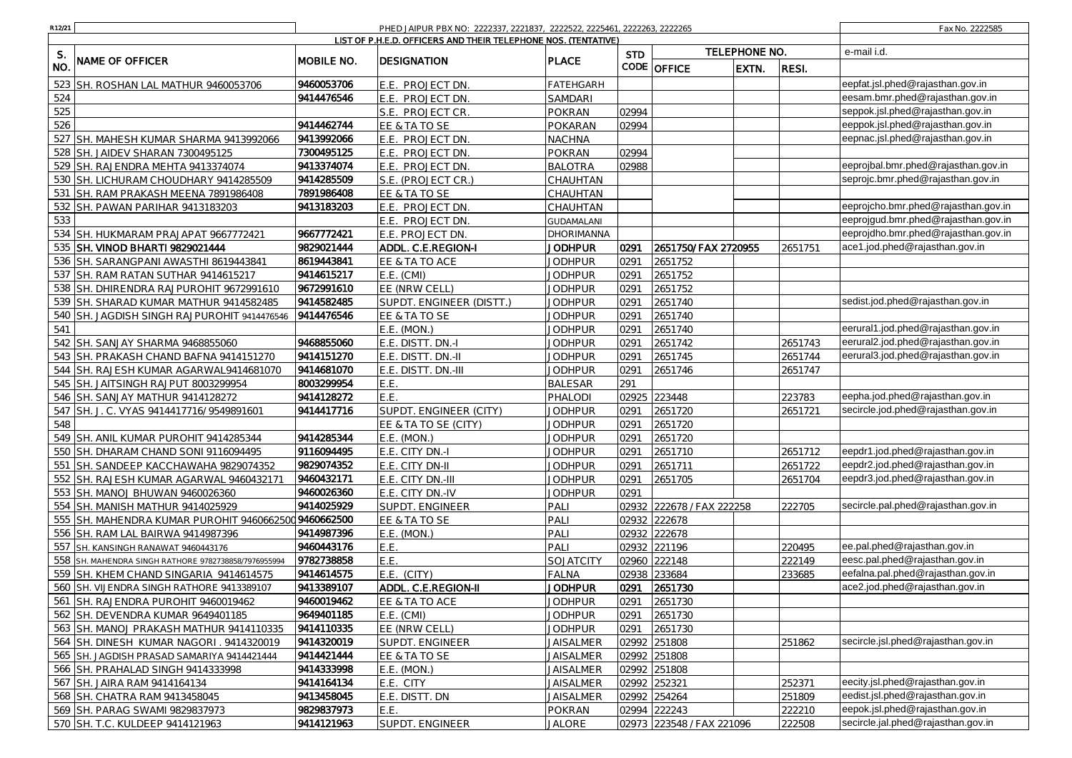| R12/21          |                                                                                   |                          | PHED JAIPUR PBX NO: 2222337, 2221837, 2222522, 2225461, 2222263, 2222265 |                                  |              |                           |               |         | Fax No. 2222585                     |
|-----------------|-----------------------------------------------------------------------------------|--------------------------|--------------------------------------------------------------------------|----------------------------------|--------------|---------------------------|---------------|---------|-------------------------------------|
|                 |                                                                                   |                          | LIST OF P.H.E.D. OFFICERS AND THEIR TELEPHONE NOS. (TENTATIVE)           |                                  |              |                           |               |         |                                     |
| S.<br><b>NO</b> | NAME OF OFFICER                                                                   | MOBILE NO.               | <b>DESIGNATION</b>                                                       | PLACE                            | <b>STD</b>   | CODE OFFICE               | TELEPHONE NO. |         | e-mail i.d.                         |
|                 |                                                                                   |                          |                                                                          |                                  |              |                           | EXTN.         | RESI.   |                                     |
| 523             | SH. ROSHAN LAL MATHUR 9460053706                                                  | 9460053706               | E.E. PROJECT DN                                                          | <b>FATEHGARH</b>                 |              |                           |               |         | eepfat.jsl.phed@rajasthan.gov.in    |
| 524             |                                                                                   | 9414476546               | E.E. PROJECT DN                                                          | <b>SAMDARI</b>                   |              |                           |               |         | eesam.bmr.phed@rajasthan.gov.in     |
| 525             |                                                                                   |                          | S.E. PROJECT CR.                                                         | <b>POKRAN</b>                    | 02994        |                           |               |         | seppok.jsl.phed@rajasthan.gov.in    |
| 526             |                                                                                   | 9414462744               | EE & TA TO SE                                                            | POKARAN                          | 02994        |                           |               |         | eeppok.jsl.phed@rajasthan.gov.in    |
| 527             | SH. MAHESH KUMAR SHARMA 9413992066                                                | 9413992066               | E.E. PROJECT DN                                                          | <b>NACHNA</b>                    |              |                           |               |         | eepnac.jsl.phed@rajasthan.gov.in    |
| 528             | JAIDEV SHARAN 7300495125                                                          | 7300495125               | E.E. PROJECT DN                                                          | <b>POKRAN</b>                    | 02994        |                           |               |         |                                     |
| 529             | SH. RAJENDRA MEHTA 9413374074                                                     | 9413374074               | E.E. PROJECT DN                                                          | <b>BALOTRA</b>                   | 02988        |                           |               |         | eeprojbal.bmr.phed@rajasthan.gov.in |
| 530             | SH. LICHURAM CHOUDHARY 9414285509                                                 | 9414285509               | S.E. (PROJECT CR.)                                                       | CHAUHTAN                         |              |                           |               |         | seprojc.bmr.phed@rajasthan.gov.in   |
|                 | 531 SH. RAM PRAKASH MEENA 7891986408                                              | 7891986408               | EE & TA TO SE                                                            | CHAUHTAN                         |              |                           |               |         | eeprojcho.bmr.phed@rajasthan.gov.in |
| 532             | SH. PAWAN PARIHAR 9413183203                                                      | 9413183203               | E.E. PROJECT DN                                                          | CHAUHTAN                         |              |                           |               |         |                                     |
| 533             |                                                                                   |                          | E.E. PROJECT DN.                                                         | <b>GUDAMALANI</b>                |              |                           |               |         | eeprojgud.bmr.phed@rajasthan.gov.in |
|                 | 534 SH. HUKMARAM PRAJAPAT 9667772421                                              | 9667772421               | E.E. PROJECT DN                                                          | DHORIMANNA                       |              |                           |               |         | eeprojdho.bmr.phed@rajasthan.gov.in |
| 536             | 535 SH. VINOD BHARTI 9829021444                                                   | 9829021444<br>8619443841 | ADDL. C.E.REGION-I                                                       | <b>JODHPUR</b>                   | 0291         | 2651750/ FAX 2720955      |               | 2651751 | ace1.jod.phed@rajasthan.gov.in      |
| 537             | SH. SARANGPANI AWASTHI 8619443841                                                 | 9414615217               | EE & TA TO ACE<br>E.E. (CMI)                                             | <b>JODHPUR</b>                   | 0291         | 2651752                   |               |         |                                     |
|                 | SH. RAM RATAN SUTHAR 9414615217                                                   |                          |                                                                          | <b>JODHPUR</b>                   | 0291         | 2651752                   |               |         |                                     |
| 538<br>539      | SH. DHIRENDRA RAJPUROHIT 9672991610                                               | 9672991610<br>9414582485 | EE (NRW CELL)<br>SUPDT, ENGINEER (DISTT.                                 | <b>JODHPUR</b>                   | 0291         | 2651752                   |               |         | sedist.jod.phed@rajasthan.gov.in    |
|                 | SH. SHARAD KUMAR MATHUR 9414582485<br>540 SH. JAGDISH SINGH RAJPUROHIT 9414476546 | 9414476546               | EE & TA TO SE                                                            | <b>JODHPUR</b><br><b>JODHPUR</b> | 0291<br>0291 | 2651740<br>2651740        |               |         |                                     |
| 541             |                                                                                   |                          | E.E. (MON.)                                                              | <b>JODHPUR</b>                   | 0291         | 2651740                   |               |         | eerural1.jod.phed@rajasthan.gov.in  |
| 542             | SH. SANJAY SHARMA 9468855060                                                      | 9468855060               | E.E. DISTT. DN.-I                                                        | <b>JODHPUR</b>                   | 0291         | 2651742                   |               | 2651743 | eerural2.jod.phed@rajasthan.gov.in  |
| 543             | SH. PRAKASH CHAND BAFNA 9414151270                                                | 9414151270               | E.E. DISTT. DN.-II                                                       | <b>JODHPUR</b>                   | 0291         | 2651745                   |               | 2651744 | eerural3.jod.phed@rajasthan.gov.in  |
| 544             | SH. RAJESH KUMAR AGARWAL9414681070                                                | 9414681070               | E.E. DISTT. DN.-III                                                      | <b>JODHPUR</b>                   | 0291         | 2651746                   |               | 2651747 |                                     |
|                 | 545 SH. JAITSINGH RAJPUT 8003299954                                               | 8003299954               | E.E.                                                                     | <b>BALESAR</b>                   | 291          |                           |               |         |                                     |
|                 | 546 SH. SANJAY MATHUR 9414128272                                                  | 9414128272               | F.F                                                                      | PHALODI                          | 02925        | 223448                    |               | 223783  | eepha.jod.phed@rajasthan.gov.in     |
| 547             | SH. J. C. VYAS 9414417716/ 9549891601                                             | 9414417716               | SUPDT. ENGINEER (CITY)                                                   | <b>JODHPUR</b>                   | 0291         | 2651720                   |               | 2651721 | secircle.jod.phed@rajasthan.gov.in  |
| 548             |                                                                                   |                          | EE & TA TO SE (CITY)                                                     | <b>JODHPUR</b>                   | 0291         | 2651720                   |               |         |                                     |
| 549             | SH. ANIL KUMAR PUROHIT 9414285344                                                 | 9414285344               | E.E. (MON.)                                                              | <b>JODHPUR</b>                   | 0291         | 2651720                   |               |         |                                     |
| 550             | SH. DHARAM CHAND SONI 9116094495                                                  | 9116094495               | E.E. CITY DN.-I                                                          | <b>JODHPUR</b>                   | 0291         | 2651710                   |               | 2651712 | eepdr1.jod.phed@rajasthan.gov.in    |
| 551             | SH. SANDEEP KACCHAWAHA 9829074352                                                 | 9829074352               | E.E. CITY DN-II                                                          | <b>JODHPUR</b>                   | 0291         | 2651711                   |               | 2651722 | eepdr2.jod.phed@rajasthan.gov.in    |
| 552             | SH. RAJESH KUMAR AGARWAL 9460432171                                               | 9460432171               | E.E. CITY DN.-III                                                        | <b>JODHPUR</b>                   | 0291         | 2651705                   |               | 2651704 | eepdr3.jod.phed@rajasthan.gov.in    |
| 553             | SH. MANOJ BHUWAN 9460026360                                                       | 9460026360               | E.E. CITY DN.-IV                                                         | <b>JODHPUR</b>                   | 0291         |                           |               |         |                                     |
|                 | 554 SH. MANISH MATHUR 9414025929                                                  | 9414025929               | SUPDT. ENGINEER                                                          | PALI                             | 02932        | 222678 / FAX 222258       |               | 222705  | secircle.pal.phed@rajasthan.gov.in  |
| 555             | SH. MAHENDRA KUMAR PUROHIT 94606625                                               | 9460662500               | EE & TA TO SE                                                            | PALI                             | 02932        | 222678                    |               |         |                                     |
| 556             | SH. RAM LAL BAIRWA 9414987396                                                     | 9414987396               | E.E. (MON.)                                                              | PALI                             | 02932        | 222678                    |               |         |                                     |
| 557             | SH. KANSINGH RANAWAT 9460443176                                                   | 9460443176               | E.E.                                                                     | PALI                             | 02932        | 221196                    |               | 220495  | ee.pal.phed@rajasthan.gov.in        |
| 558             | SH. MAHENDRA SINGH RATHORE 9782738858/7976955994                                  | 9782738858               | E.E.                                                                     | SOJATCITY                        | 02960        | 222148                    |               | 222149  | eesc.pal.phed@rajasthan.gov.in      |
| 559             | SH. KHEM CHAND SINGARIA 9414614575                                                | 9414614575               | E.E.<br>(CITY)                                                           | FALNA                            | 02938        | 233684                    |               | 233685  | eefalna.pal.phed@rajasthan.gov.in   |
| 560             | SH. VIJENDRA SINGH RATHORE 9413389107                                             | 9413389107               | ADDL. C.E.REGION-II                                                      | <b>JODHPUR</b>                   | 0291         | 2651730                   |               |         | ace2.jod.phed@rajasthan.gov.in      |
|                 | 561   SH. RAJENDRA PUROHIT 9460019462                                             | 9460019462               | EE & TA TO ACE                                                           | <b>JODHPUR</b>                   | 0291         | 2651730                   |               |         |                                     |
|                 | 562 SH. DEVENDRA KUMAR 9649401185                                                 | 9649401185               | E.E. (CMI)                                                               | <b>JODHPUR</b>                   | 0291         | 2651730                   |               |         |                                     |
|                 | 563 SH. MANOJ PRAKASH MATHUR 9414110335                                           | 9414110335               | EE (NRW CELL)                                                            | <b>JODHPUR</b>                   | 0291         | 2651730                   |               |         |                                     |
|                 | 564 SH. DINESH KUMAR NAGORI . 9414320019                                          | 9414320019               | SUPDT. ENGINEER                                                          | <b>JAISALMER</b>                 | 02992        | 251808                    |               | 251862  | secircle.jsl.phed@rajasthan.gov.in  |
|                 | 565 SH. JAGDISH PRASAD SAMARIYA 9414421444                                        | 9414421444               | EE & TA TO SE                                                            | <b>JAISALMER</b>                 |              | 02992 251808              |               |         |                                     |
|                 | 566 SH. PRAHALAD SINGH 9414333998                                                 | 9414333998               | E.E. (MON.)                                                              | <b>JAISALMER</b>                 |              | 02992 251808              |               |         |                                     |
|                 | 567 SH. JAIRA RAM 9414164134                                                      | 9414164134               | E.E. CITY                                                                | <b>JAISALMER</b>                 |              | 02992 252321              |               | 252371  | eecity.jsl.phed@rajasthan.gov.in    |
|                 | 568 SH. CHATRA RAM 9413458045                                                     | 9413458045               | E.E. DISTT. DN                                                           | <b>JAISALMER</b>                 |              | 02992 254264              |               | 251809  | eedist.jsl.phed@rajasthan.gov.in    |
|                 | 569 SH. PARAG SWAMI 9829837973                                                    | 9829837973               | E.E.                                                                     | <b>POKRAN</b>                    |              | 02994 222243              |               | 222210  | eepok.jsl.phed@rajasthan.gov.in     |
|                 | 570 SH. T.C. KULDEEP 9414121963                                                   | 9414121963               | SUPDT. ENGINEER                                                          | <b>JALORE</b>                    |              | 02973 223548 / FAX 221096 |               | 222508  | secircle.jal.phed@rajasthan.gov.in  |